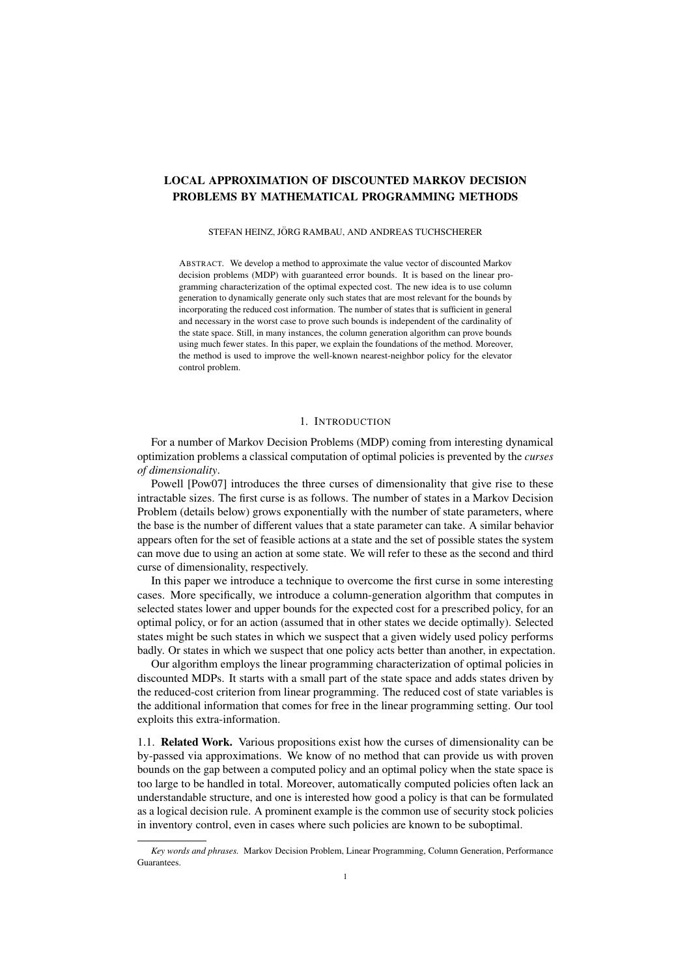# LOCAL APPROXIMATION OF DISCOUNTED MARKOV DECISION PROBLEMS BY MATHEMATICAL PROGRAMMING METHODS

### STEFAN HEINZ, JÖRG RAMBAU, AND ANDREAS TUCHSCHERER

ABSTRACT. We develop a method to approximate the value vector of discounted Markov decision problems (MDP) with guaranteed error bounds. It is based on the linear programming characterization of the optimal expected cost. The new idea is to use column generation to dynamically generate only such states that are most relevant for the bounds by incorporating the reduced cost information. The number of states that is sufficient in general and necessary in the worst case to prove such bounds is independent of the cardinality of the state space. Still, in many instances, the column generation algorithm can prove bounds using much fewer states. In this paper, we explain the foundations of the method. Moreover, the method is used to improve the well-known nearest-neighbor policy for the elevator control problem.

#### 1. INTRODUCTION

For a number of Markov Decision Problems (MDP) coming from interesting dynamical optimization problems a classical computation of optimal policies is prevented by the *curses of dimensionality*.

Powell [Pow07] introduces the three curses of dimensionality that give rise to these intractable sizes. The first curse is as follows. The number of states in a Markov Decision Problem (details below) grows exponentially with the number of state parameters, where the base is the number of different values that a state parameter can take. A similar behavior appears often for the set of feasible actions at a state and the set of possible states the system can move due to using an action at some state. We will refer to these as the second and third curse of dimensionality, respectively.

In this paper we introduce a technique to overcome the first curse in some interesting cases. More specifically, we introduce a column-generation algorithm that computes in selected states lower and upper bounds for the expected cost for a prescribed policy, for an optimal policy, or for an action (assumed that in other states we decide optimally). Selected states might be such states in which we suspect that a given widely used policy performs badly. Or states in which we suspect that one policy acts better than another, in expectation.

Our algorithm employs the linear programming characterization of optimal policies in discounted MDPs. It starts with a small part of the state space and adds states driven by the reduced-cost criterion from linear programming. The reduced cost of state variables is the additional information that comes for free in the linear programming setting. Our tool exploits this extra-information.

1.1. Related Work. Various propositions exist how the curses of dimensionality can be by-passed via approximations. We know of no method that can provide us with proven bounds on the gap between a computed policy and an optimal policy when the state space is too large to be handled in total. Moreover, automatically computed policies often lack an understandable structure, and one is interested how good a policy is that can be formulated as a logical decision rule. A prominent example is the common use of security stock policies in inventory control, even in cases where such policies are known to be suboptimal.

*Key words and phrases.* Markov Decision Problem, Linear Programming, Column Generation, Performance Guarantees.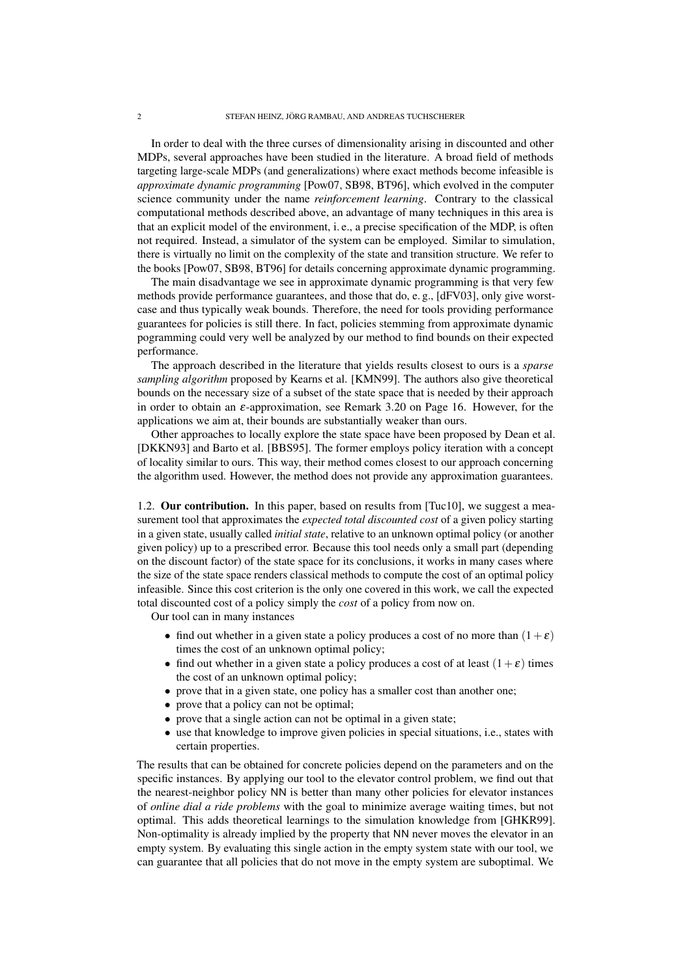In order to deal with the three curses of dimensionality arising in discounted and other MDPs, several approaches have been studied in the literature. A broad field of methods targeting large-scale MDPs (and generalizations) where exact methods become infeasible is *approximate dynamic programming* [Pow07, SB98, BT96], which evolved in the computer science community under the name *reinforcement learning*. Contrary to the classical computational methods described above, an advantage of many techniques in this area is that an explicit model of the environment, i. e., a precise specification of the MDP, is often not required. Instead, a simulator of the system can be employed. Similar to simulation, there is virtually no limit on the complexity of the state and transition structure. We refer to the books [Pow07, SB98, BT96] for details concerning approximate dynamic programming.

The main disadvantage we see in approximate dynamic programming is that very few methods provide performance guarantees, and those that do, e. g., [dFV03], only give worstcase and thus typically weak bounds. Therefore, the need for tools providing performance guarantees for policies is still there. In fact, policies stemming from approximate dynamic pogramming could very well be analyzed by our method to find bounds on their expected performance.

The approach described in the literature that yields results closest to ours is a *sparse sampling algorithm* proposed by Kearns et al. [KMN99]. The authors also give theoretical bounds on the necessary size of a subset of the state space that is needed by their approach in order to obtain an  $\varepsilon$ -approximation, see Remark 3.20 on Page 16. However, for the applications we aim at, their bounds are substantially weaker than ours.

Other approaches to locally explore the state space have been proposed by Dean et al. [DKKN93] and Barto et al. [BBS95]. The former employs policy iteration with a concept of locality similar to ours. This way, their method comes closest to our approach concerning the algorithm used. However, the method does not provide any approximation guarantees.

1.2. **Our contribution.** In this paper, based on results from [Tuc10], we suggest a measurement tool that approximates the *expected total discounted cost* of a given policy starting in a given state, usually called *initial state*, relative to an unknown optimal policy (or another given policy) up to a prescribed error. Because this tool needs only a small part (depending on the discount factor) of the state space for its conclusions, it works in many cases where the size of the state space renders classical methods to compute the cost of an optimal policy infeasible. Since this cost criterion is the only one covered in this work, we call the expected total discounted cost of a policy simply the *cost* of a policy from now on.

Our tool can in many instances

- find out whether in a given state a policy produces a cost of no more than  $(1+\varepsilon)$ times the cost of an unknown optimal policy;
- find out whether in a given state a policy produces a cost of at least  $(1+\varepsilon)$  times the cost of an unknown optimal policy;
- prove that in a given state, one policy has a smaller cost than another one;
- prove that a policy can not be optimal;
- prove that a single action can not be optimal in a given state;
- use that knowledge to improve given policies in special situations, i.e., states with certain properties.

The results that can be obtained for concrete policies depend on the parameters and on the specific instances. By applying our tool to the elevator control problem, we find out that the nearest-neighbor policy NN is better than many other policies for elevator instances of *online dial a ride problems* with the goal to minimize average waiting times, but not optimal. This adds theoretical learnings to the simulation knowledge from [GHKR99]. Non-optimality is already implied by the property that NN never moves the elevator in an empty system. By evaluating this single action in the empty system state with our tool, we can guarantee that all policies that do not move in the empty system are suboptimal. We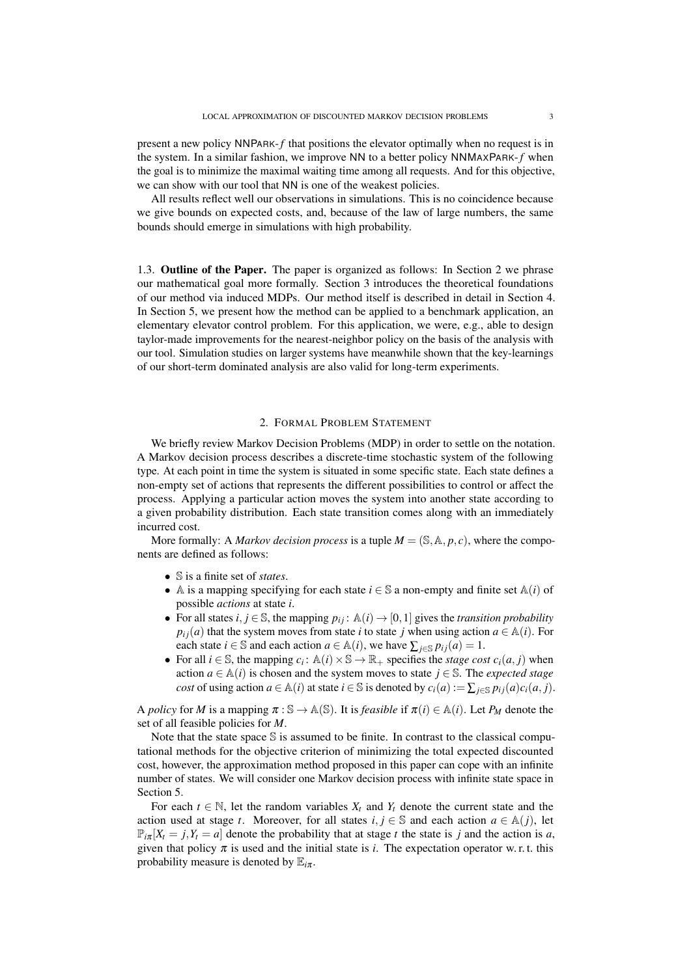present a new policy NNPARK-*f* that positions the elevator optimally when no request is in the system. In a similar fashion, we improve NN to a better policy NNMAXPARK-*f* when the goal is to minimize the maximal waiting time among all requests. And for this objective, we can show with our tool that NN is one of the weakest policies.

All results reflect well our observations in simulations. This is no coincidence because we give bounds on expected costs, and, because of the law of large numbers, the same bounds should emerge in simulations with high probability.

1.3. Outline of the Paper. The paper is organized as follows: In Section 2 we phrase our mathematical goal more formally. Section 3 introduces the theoretical foundations of our method via induced MDPs. Our method itself is described in detail in Section 4. In Section 5, we present how the method can be applied to a benchmark application, an elementary elevator control problem. For this application, we were, e.g., able to design taylor-made improvements for the nearest-neighbor policy on the basis of the analysis with our tool. Simulation studies on larger systems have meanwhile shown that the key-learnings of our short-term dominated analysis are also valid for long-term experiments.

## 2. FORMAL PROBLEM STATEMENT

We briefly review Markov Decision Problems (MDP) in order to settle on the notation. A Markov decision process describes a discrete-time stochastic system of the following type. At each point in time the system is situated in some specific state. Each state defines a non-empty set of actions that represents the different possibilities to control or affect the process. Applying a particular action moves the system into another state according to a given probability distribution. Each state transition comes along with an immediately incurred cost.

More formally: A *Markov decision process* is a tuple  $M = (\mathbb{S}, \mathbb{A}, p, c)$ , where the components are defined as follows:

- S is a finite set of *states*.
- A is a mapping specifying for each state  $i \in \mathbb{S}$  a non-empty and finite set  $\mathbb{A}(i)$  of possible *actions* at state *i*.
- For all states *i*, *j*  $\in$  \$, the mapping  $p_{ij}$ :  $\mathbb{A}(i) \rightarrow [0,1]$  gives the *transition probability*  $p_{ij}(a)$  that the system moves from state *i* to state *j* when using action  $a \in A(i)$ . For each state *i* ∈ S and each action *a* ∈  $\mathbb{A}(i)$ , we have  $\sum_{i \in \mathbb{S}} p_{ij}(a) = 1$ .
- For all  $i \in \mathbb{S}$ , the mapping  $c_i : \mathbb{A}(i) \times \mathbb{S} \to \mathbb{R}_+$  specifies the *stage cost*  $c_i(a, j)$  when action  $a \in A(i)$  is chosen and the system moves to state  $j \in S$ . The *expected stage cost* of using action  $a \in A(i)$  at state  $i \in S$  is denoted by  $c_i(a) := \sum_{i \in S} p_{ij}(a)c_i(a, j)$ .

A *policy* for *M* is a mapping  $\pi : \mathbb{S} \to \mathbb{A}(\mathbb{S})$ . It is *feasible* if  $\pi(i) \in \mathbb{A}(i)$ . Let  $P_M$  denote the set of all feasible policies for *M*.

Note that the state space  $S$  is assumed to be finite. In contrast to the classical computational methods for the objective criterion of minimizing the total expected discounted cost, however, the approximation method proposed in this paper can cope with an infinite number of states. We will consider one Markov decision process with infinite state space in Section 5.

For each  $t \in \mathbb{N}$ , let the random variables  $X_t$  and  $Y_t$  denote the current state and the action used at stage *t*. Moreover, for all states  $i, j \in \mathbb{S}$  and each action  $a \in \mathbb{A}(j)$ , let  $\mathbb{P}_{i\pi}[X_i = j, Y_i = a]$  denote the probability that at stage *t* the state is *j* and the action is *a*, given that policy  $\pi$  is used and the initial state is *i*. The expectation operator w. r. t. this probability measure is denoted by  $\mathbb{E}_{i\pi}$ .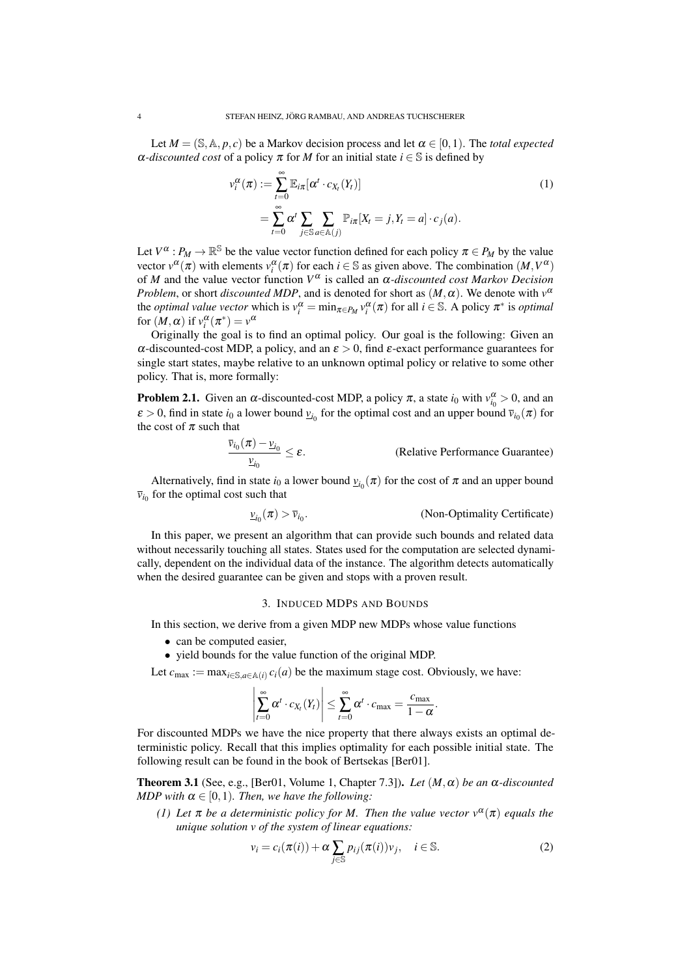Let  $M = (\mathbb{S}, \mathbb{A}, p, c)$  be a Markov decision process and let  $\alpha \in [0, 1)$ . The *total expected*  $\alpha$ *-discounted cost* of a policy  $\pi$  for *M* for an initial state  $i \in \mathbb{S}$  is defined by

$$
\nu_i^{\alpha}(\pi) := \sum_{t=0}^{\infty} \mathbb{E}_{i\pi} [\alpha^t \cdot c_{X_t}(Y_t)]
$$
  
= 
$$
\sum_{t=0}^{\infty} \alpha^t \sum_{j \in \mathbb{S}} \sum_{a \in \mathbb{A}(j)} \mathbb{P}_{i\pi}[X_t = j, Y_t = a] \cdot c_j(a).
$$
 (1)

Let  $V^{\alpha}: P_M \to \mathbb{R}^{\mathbb{S}}$  be the value vector function defined for each policy  $\pi \in P_M$  by the value vector  $v^{\alpha}(\pi)$  with elements  $v_i^{\alpha}(\pi)$  for each  $i \in \mathbb{S}$  as given above. The combination  $(M, V^{\alpha})$ of *M* and the value vector function *V* α is called an α*-discounted cost Markov Decision Problem*, or short *discounted MDP*, and is denoted for short as  $(M, \alpha)$ . We denote with  $v^{\alpha}$ the *optimal value vector* which is  $v_i^{\alpha} = \min_{\pi \in P_M} v_i^{\alpha}(\pi)$  for all  $i \in \mathbb{S}$ . A policy  $\pi^*$  is *optimal* for  $(M, \alpha)$  if  $v_i^{\alpha}(\pi^*) = v^{\alpha}$ 

Originally the goal is to find an optimal policy. Our goal is the following: Given an α-discounted-cost MDP, a policy, and an  $ε > 0$ , find  $ε$ -exact performance guarantees for single start states, maybe relative to an unknown optimal policy or relative to some other policy. That is, more formally:

**Problem 2.1.** Given an  $\alpha$ -discounted-cost MDP, a policy  $\pi$ , a state  $i_0$  with  $v_{i_0}^{\alpha} > 0$ , and an  $\varepsilon > 0$ , find in state  $i_0$  a lower bound  $\underline{v}_{i_0}$  for the optimal cost and an upper bound  $\overline{v}_{i_0}(\pi)$  for the cost of  $\pi$  such that

$$
\frac{\overline{v}_{i_0}(\pi) - \underline{v}_{i_0}}{\underline{v}_{i_0}} \le \varepsilon.
$$
 (Relative Performance Guarantee)

Alternatively, find in state  $i_0$  a lower bound  $\underline{v}_{i_0}(\pi)$  for the cost of  $\pi$  and an upper bound  $\bar{v}_{i_0}$  for the optimal cost such that

$$
\underline{v}_{i_0}(\pi) > \overline{v}_{i_0}.
$$
 (Non-Optimality Certificance)

In this paper, we present an algorithm that can provide such bounds and related data without necessarily touching all states. States used for the computation are selected dynamically, dependent on the individual data of the instance. The algorithm detects automatically when the desired guarantee can be given and stops with a proven result.

### 3. INDUCED MDPS AND BOUNDS

In this section, we derive from a given MDP new MDPs whose value functions

- can be computed easier.
- yield bounds for the value function of the original MDP.

Let  $c_{\text{max}} := \max_{i \in \mathcal{S}, a \in \mathcal{A}(i)} c_i(a)$  be the maximum stage cost. Obviously, we have:

$$
\left|\sum_{t=0}^{\infty} \alpha^{t} \cdot c_{X_{t}}(Y_{t})\right| \leq \sum_{t=0}^{\infty} \alpha^{t} \cdot c_{\max} = \frac{c_{\max}}{1-\alpha}.
$$

For discounted MDPs we have the nice property that there always exists an optimal deterministic policy. Recall that this implies optimality for each possible initial state. The following result can be found in the book of Bertsekas [Ber01].

Theorem 3.1 (See, e.g., [Ber01, Volume 1, Chapter 7.3]). *Let* (*M*,α) *be an* α*-discounted MDP with*  $\alpha \in [0,1)$ *. Then, we have the following:* 

*(1)* Let  $\pi$  be a deterministic policy for M. Then the value vector  $v^{\alpha}(\pi)$  equals the *unique solution v of the system of linear equations:*

$$
v_i = c_i(\pi(i)) + \alpha \sum_{j \in \mathbb{S}} p_{ij}(\pi(i)) v_j, \quad i \in \mathbb{S}.
$$
 (2)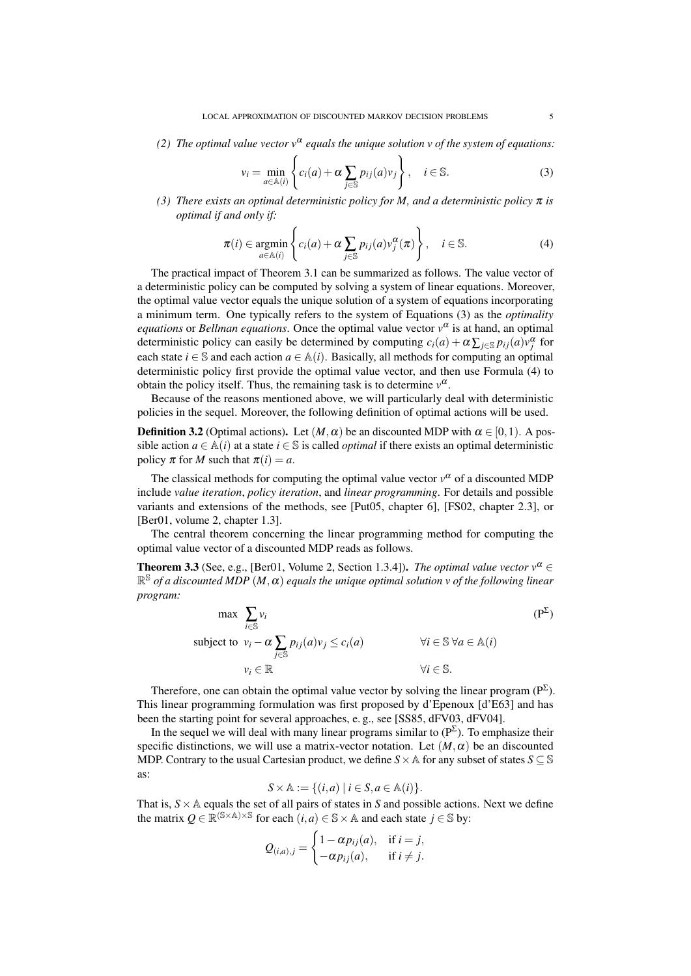*(2) The optimal value vector*  $v^{\alpha}$  *equals the unique solution v of the system of equations:* 

$$
v_i = \min_{a \in \mathbb{A}(i)} \left\{ c_i(a) + \alpha \sum_{j \in \mathbb{S}} p_{ij}(a) v_j \right\}, \quad i \in \mathbb{S}.
$$
 (3)

(3) *There exists an optimal deterministic policy for M, and a deterministic policy*  $\pi$  *is optimal if and only if:*

$$
\pi(i) \in \underset{a \in \mathbb{A}(i)}{\operatorname{argmin}} \left\{ c_i(a) + \alpha \sum_{j \in \mathbb{S}} p_{ij}(a) v_j^{\alpha}(\pi) \right\}, \quad i \in \mathbb{S}.
$$
 (4)

The practical impact of Theorem 3.1 can be summarized as follows. The value vector of a deterministic policy can be computed by solving a system of linear equations. Moreover, the optimal value vector equals the unique solution of a system of equations incorporating a minimum term. One typically refers to the system of Equations (3) as the *optimality equations* or *Bellman equations*. Once the optimal value vector *v* α is at hand, an optimal deterministic policy can easily be determined by computing  $c_i(a) + \alpha \sum_{j \in S} p_{ij}(a) v_j^{\alpha}$  for each state *i*  $\in$  S and each action *a*  $\in$  A(*i*). Basically, all methods for computing an optimal deterministic policy first provide the optimal value vector, and then use Formula (4) to obtain the policy itself. Thus, the remaining task is to determine  $v^{\alpha}$ .

Because of the reasons mentioned above, we will particularly deal with deterministic policies in the sequel. Moreover, the following definition of optimal actions will be used.

**Definition 3.2** (Optimal actions). Let  $(M, \alpha)$  be an discounted MDP with  $\alpha \in [0, 1)$ . A possible action  $a \in \mathbb{A}(i)$  at a state  $i \in \mathbb{S}$  is called *optimal* if there exists an optimal deterministic policy  $\pi$  for *M* such that  $\pi(i) = a$ .

The classical methods for computing the optimal value vector  $v^{\alpha}$  of a discounted MDP include *value iteration*, *policy iteration*, and *linear programming*. For details and possible variants and extensions of the methods, see [Put05, chapter 6], [FS02, chapter 2.3], or [Ber01, volume 2, chapter 1.3].

The central theorem concerning the linear programming method for computing the optimal value vector of a discounted MDP reads as follows.

**Theorem 3.3** (See, e.g., [Ber01, Volume 2, Section 1.3.4]). *The optimal value vector*  $v^{\alpha} \in$ R <sup>S</sup> *of a discounted MDP* (*M*,α) *equals the unique optimal solution v of the following linear program:*

$$
\max \sum_{i \in \mathbb{S}} v_i
$$
\n
$$
\text{subject to } v_i - \alpha \sum_{j \in \mathbb{S}} p_{ij}(a)v_j \le c_i(a) \qquad \forall i \in \mathbb{S} \ \forall a \in \mathbb{A}(i)
$$
\n
$$
v_i \in \mathbb{R} \qquad \forall i \in \mathbb{S}.
$$
\n
$$
(P^{\Sigma})
$$

Therefore, one can obtain the optimal value vector by solving the linear program  $(P^{\Sigma})$ . This linear programming formulation was first proposed by d'Epenoux [d'E63] and has been the starting point for several approaches, e. g., see [SS85, dFV03, dFV04].

In the sequel we will deal with many linear programs similar to  $(P^{\Sigma})$ . To emphasize their specific distinctions, we will use a matrix-vector notation. Let  $(M, \alpha)$  be an discounted MDP. Contrary to the usual Cartesian product, we define  $S \times A$  for any subset of states  $S \subseteq S$ as:

$$
S \times \mathbb{A} := \{ (i, a) \mid i \in S, a \in \mathbb{A}(i) \}.
$$

That is,  $S \times A$  equals the set of all pairs of states in *S* and possible actions. Next we define the matrix  $Q \in \mathbb{R}^{(\mathbb{S} \times \mathbb{A}) \times \mathbb{S}}$  for each  $(i, a) \in \mathbb{S} \times \mathbb{A}$  and each state  $j \in \mathbb{S}$  by:

$$
Q_{(i,a),j} = \begin{cases} 1 - \alpha p_{ij}(a), & \text{if } i = j, \\ -\alpha p_{ij}(a), & \text{if } i \neq j. \end{cases}
$$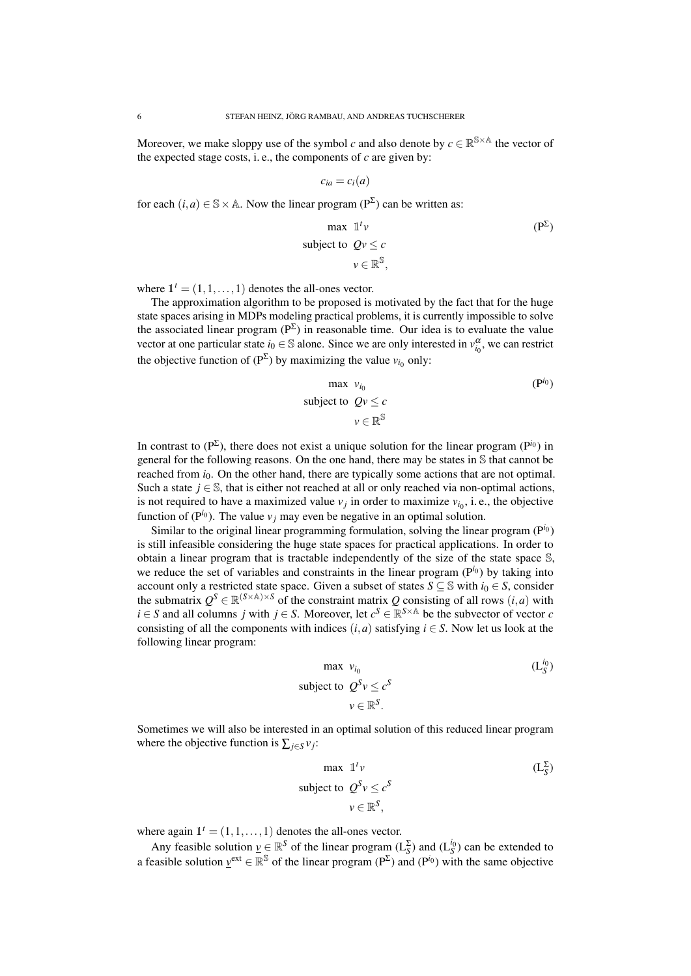Moreover, we make sloppy use of the symbol *c* and also denote by  $c \in \mathbb{R}^{\mathbb{S} \times \mathbb{A}}$  the vector of the expected stage costs, i. e., the components of  $c$  are given by:

$$
c_{ia}=c_i(a)
$$

for each  $(i, a) \in \mathbb{S} \times \mathbb{A}$ . Now the linear program ( $P^{\Sigma}$ ) can be written as:

$$
\max \quad \mathbb{I}^t \nu
$$
\n
$$
\text{subject to } Q\nu \le c
$$
\n
$$
\nu \in \mathbb{R}^{\mathbb{S}},
$$
\n
$$
(\mathbf{P}^{\Sigma})
$$

where  $\mathbb{I}^t = (1, 1, \dots, 1)$  denotes the all-ones vector.

The approximation algorithm to be proposed is motivated by the fact that for the huge state spaces arising in MDPs modeling practical problems, it is currently impossible to solve the associated linear program ( $P^{\Sigma}$ ) in reasonable time. Our idea is to evaluate the value vector at one particular state  $i_0 \in \mathbb{S}$  alone. Since we are only interested in  $v_{i_0}^{\alpha}$ , we can restrict the objective function of  $(P^{\Sigma})$  by maximizing the value  $v_{i_0}$  only:

$$
\max \, v_{i_0} \tag{Pi_0}
$$
\n
$$
\text{subject to } Qv \le c
$$
\n
$$
v \in \mathbb{R}^{\mathbb{S}}
$$

In contrast to  $(P^{\Sigma})$ , there does not exist a unique solution for the linear program  $(P^{i_0})$  in general for the following reasons. On the one hand, there may be states in S that cannot be reached from  $i_0$ . On the other hand, there are typically some actions that are not optimal. Such a state  $j \in \mathbb{S}$ , that is either not reached at all or only reached via non-optimal actions, is not required to have a maximized value  $v_j$  in order to maximize  $v_{i_0}$ , i.e., the objective function of ( $P^{i_0}$ ). The value  $v_j$  may even be negative in an optimal solution.

Similar to the original linear programming formulation, solving the linear program (P*i*<sup>0</sup> ) is still infeasible considering the huge state spaces for practical applications. In order to obtain a linear program that is tractable independently of the size of the state space S, we reduce the set of variables and constraints in the linear program (P*i*<sup>0</sup> ) by taking into account only a restricted state space. Given a subset of states  $S \subseteq \mathbb{S}$  with  $i_0 \in S$ , consider the submatrix  $Q^S \in \mathbb{R}^{(S \times \mathbb{A}) \times S}$  of the constraint matrix *Q* consisting of all rows  $(i, a)$  with *i* ∈ *S* and all columns *j* with *j* ∈ *S*. Moreover, let  $c^S \in \mathbb{R}^{S \times A}$  be the subvector of vector *c* consisting of all the components with indices  $(i, a)$  satisfying  $i \in S$ . Now let us look at the following linear program:

$$
\begin{aligned}\n\max \ \nu_{i_0} \\
\text{subject to} \ \ Q^S \nu \le c^S \\
\nu \in \mathbb{R}^S.\n\end{aligned}
$$
\n( L<sub>S</sub><sup>i<sub>0</sub></sup>)

Sometimes we will also be interested in an optimal solution of this reduced linear program where the objective function is  $\sum_{j \in S} v_j$ :

$$
\max \quad \mathbb{1}^t \nu
$$
\n
$$
\text{subject to } Q^S \nu \le c^S
$$
\n
$$
\nu \in \mathbb{R}^S,
$$
\n
$$
\mathbb{R}^S \rightarrow \mathbb{R}^S
$$

where again  $\mathbb{I}^t = (1, 1, \dots, 1)$  denotes the all-ones vector.

Any feasible solution  $\underline{v} \in \mathbb{R}^S$  of the linear program  $(L_S^{\Sigma})$  and  $(L_S^{i_0})$  can be extended to a feasible solution  $\underline{v}^{\text{ext}} \in \mathbb{R}^{\mathbb{S}}$  of the linear program (P<sup>Σ</sup>) and (P<sup>*i*<sub>0</sub>)</sup> with the same objective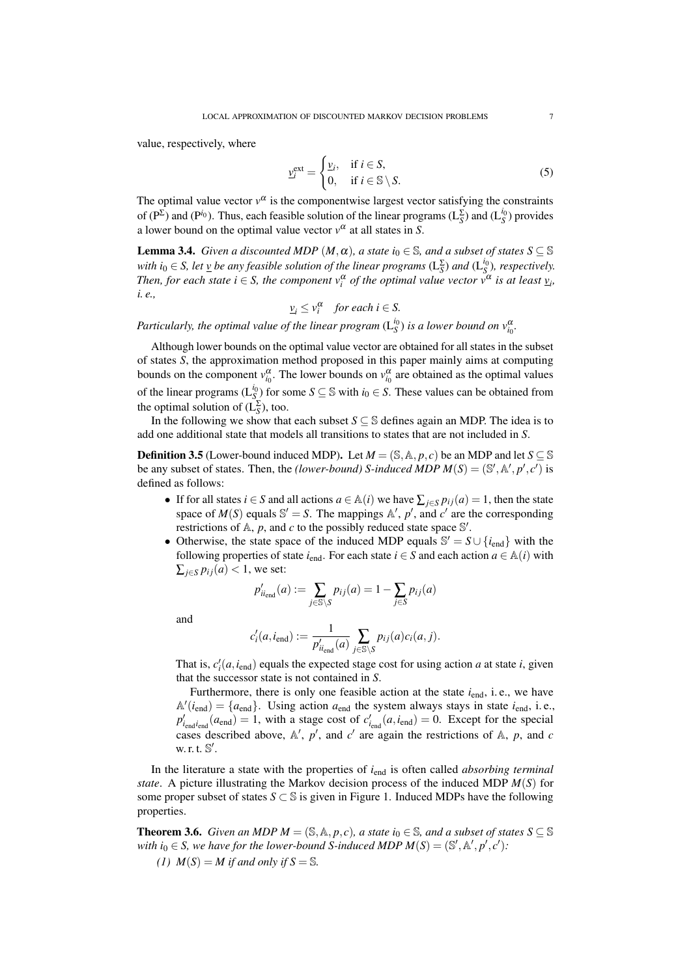value, respectively, where

$$
\underline{v}_{i}^{\text{ext}} = \begin{cases} \underline{v}_{i}, & \text{if } i \in S, \\ 0, & \text{if } i \in \mathbb{S} \setminus S. \end{cases}
$$
 (5)

The optimal value vector  $v^{\alpha}$  is the componentwise largest vector satisfying the constraints of  $(P^{\Sigma})$  and  $(P^{i_0})$ . Thus, each feasible solution of the linear programs  $(L_S^{\Sigma})$  and  $(L_S^{i_0})$  provides a lower bound on the optimal value vector  $v^{\alpha}$  at all states in *S*.

**Lemma 3.4.** *Given a discounted MDP*  $(M, \alpha)$ *, a state i*<sub>0</sub>  $\in$  *S, and a subset of states S*  $\subseteq$  *S with*  $i_0 \in S$ , let  $\underline{v}$  *be any feasible solution of the linear programs*  $(L_S^{\Sigma})$  *and*  $(L_S^{i_0})$ *, respectively. Then, for each state*  $i \in S$ *, the component*  $v_i^{\alpha}$  *of the optimal value vector*  $v^{\alpha}$  *is at least*  $v_i$ *, i. e.,*

$$
\underline{v}_i \leq v_i^{\alpha} \quad \text{for each } i \in S.
$$

*Particularly, the optimal value of the linear program*  $(L_S^{i_0})$  *is a lower bound on*  $v_{i_0}^{\alpha}$ .

Although lower bounds on the optimal value vector are obtained for all states in the subset of states *S*, the approximation method proposed in this paper mainly aims at computing bounds on the component  $v_{i_0}^{\alpha}$ . The lower bounds on  $v_{i_0}^{\alpha}$  are obtained as the optimal values of the linear programs ( $L_{S_2}^{i_0}$ ) for some  $S \subseteq S$  with  $i_0 \in S$ . These values can be obtained from the optimal solution of  $(L_S^{\Sigma})$ , too.

In the following we show that each subset  $S \subseteq \mathbb{S}$  defines again an MDP. The idea is to add one additional state that models all transitions to states that are not included in *S*.

**Definition 3.5** (Lower-bound induced MDP). Let  $M = (\mathbb{S}, \mathbb{A}, p, c)$  be an MDP and let  $S \subseteq \mathbb{S}$ be any subset of states. Then, the *(lower-bound) S-induced MDP*  $M(S) = (\mathbb{S}', \mathbb{A}', p', c')$  is defined as follows:

- If for all states *i*  $\in$  *S* and all actions  $a \in \mathbb{A}(i)$  we have  $\sum_{i \in S} p_{ij}(a) = 1$ , then the state space of  $M(S)$  equals  $\mathbb{S}' = S$ . The mappings  $\mathbb{A}'$ ,  $p'$ , and  $c'$  are the corresponding restrictions of  $A$ ,  $p$ , and  $c$  to the possibly reduced state space  $\mathbb{S}'$ .
- Otherwise, the state space of the induced MDP equals  $\mathbb{S}' = S \cup \{i_{end}\}\$  with the following properties of state  $i_{end}$ . For each state  $i \in S$  and each action  $a \in A(i)$  with  $\sum_{i \in S} p_{ij}(a) < 1$ , we set:

$$
p'_{ii_{\text{end}}}(a) := \sum_{j \in \mathbb{S} \setminus S} p_{ij}(a) = 1 - \sum_{j \in S} p_{ij}(a)
$$

and

$$
c'_{i}(a, i_{end}) := \frac{1}{p'_{i_{end}}(a)} \sum_{j \in \mathcal{S} \setminus \mathcal{S}} p_{ij}(a) c_i(a, j).
$$

That is,  $c_i'(a, i_{end})$  equals the expected stage cost for using action *a* at state *i*, given that the successor state is not contained in *S*.

Furthermore, there is only one feasible action at the state  $i_{end}$ , i.e., we have  $A'(i_{end}) = \{a_{end}\}\.$  Using action  $a_{end}$  the system always stays in state  $i_{end}$ , i.e.,  $p'_{i_{\text{end}}}(a_{\text{end}}) = 1$ , with a stage cost of  $c'_{i_{\text{end}}}(a, i_{\text{end}}) = 0$ . Except for the special cases described above,  $\mathbb{A}'$ ,  $p'$ , and  $c'$  are again the restrictions of  $\mathbb{A}$ ,  $p$ , and  $c$ w. r. t.  $\mathbb{S}'$ .

In the literature a state with the properties of *i*<sub>end</sub> is often called *absorbing terminal state*. A picture illustrating the Markov decision process of the induced MDP *M*(*S*) for some proper subset of states  $S \subset \mathbb{S}$  is given in Figure 1. Induced MDPs have the following properties.

**Theorem 3.6.** *Given an MDP*  $M = (\mathbb{S}, \mathbb{A}, p, c)$ *, a state*  $i_0 \in \mathbb{S}$ *, and a subset of states*  $S \subseteq \mathbb{S}$ *with*  $i_0 \in S$ , we have for the lower-bound S-induced MDP  $M(S) = (S', \mathbb{A}', p', c')$ :

*(1)*  $M(S) = M$  *if and only if*  $S = S$ *.*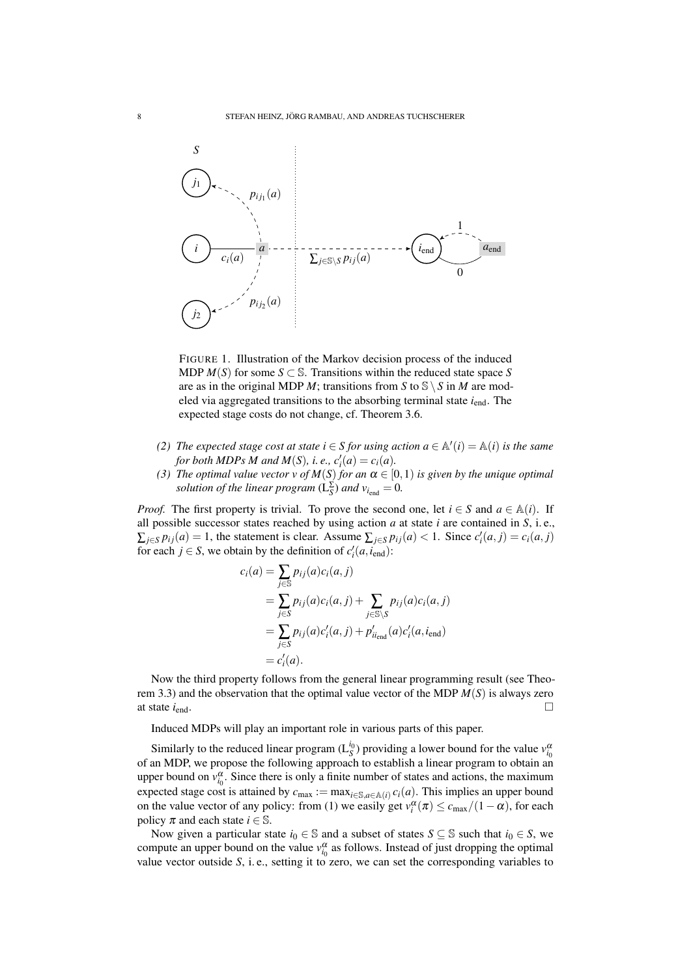

FIGURE 1. Illustration of the Markov decision process of the induced MDP  $M(S)$  for some  $S \subset \mathbb{S}$ . Transitions within the reduced state space S are as in the original MDP *M*; transitions from *S* to  $S \ S \ n$  *M* are modeled via aggregated transitions to the absorbing terminal state *i*end. The expected stage costs do not change, cf. Theorem 3.6.

- *(2) The expected stage cost at state*  $i \in S$  *for using action*  $a \in A'(i) = A(i)$  *is the same for both MDPs M and M*(*S*), *i. e.*,  $c'_i(a) = c_i(a)$ .
- *(3) The optimal value vector v of*  $M(S)$  *for an*  $\alpha \in [0,1)$  *is given by the unique optimal solution of the linear program*  $(L_S^{\Sigma})$  *and*  $v_{i_{end}} = 0$ *.*

*Proof.* The first property is trivial. To prove the second one, let  $i \in S$  and  $a \in A(i)$ . If all possible successor states reached by using action *a* at state *i* are contained in *S*, i. e.,  $\sum_{j \in S} p_{ij}(a) = 1$ , the statement is clear. Assume  $\sum_{j \in S} p_{ij}(a) < 1$ . Since  $c'_i(a, j) = c_i(a, j)$ for each  $j \in S$ , we obtain by the definition of  $c'_i(a, i_{end})$ :

$$
c_i(a) = \sum_{j \in \mathbb{S}} p_{ij}(a)c_i(a, j)
$$
  
= 
$$
\sum_{j \in \mathbb{S}} p_{ij}(a)c_i(a, j) + \sum_{j \in \mathbb{S}\setminus S} p_{ij}(a)c_i(a, j)
$$
  
= 
$$
\sum_{j \in S} p_{ij}(a)c'_i(a, j) + p'_{ii_{end}}(a)c'_i(a, i_{end})
$$
  
= 
$$
c'_i(a).
$$

Now the third property follows from the general linear programming result (see Theorem 3.3) and the observation that the optimal value vector of the MDP *M*(*S*) is always zero at state  $i_{end}$ .

Induced MDPs will play an important role in various parts of this paper.

Similarly to the reduced linear program  $(L_S^{i_0})$  providing a lower bound for the value  $v_{i_0}^{\alpha}$ of an MDP, we propose the following approach to establish a linear program to obtain an upper bound on  $v_{i_0}^{\alpha}$ . Since there is only a finite number of states and actions, the maximum expected stage cost is attained by  $c_{\text{max}} := \max_{i \in \mathbb{S}, a \in \mathbb{A}(i)} c_i(a)$ . This implies an upper bound on the value vector of any policy: from (1) we easily get  $v_i^{\alpha}(\pi) \leq c_{\max}/(1-\alpha)$ , for each policy  $\pi$  and each state  $i \in \mathbb{S}$ .

Now given a particular state  $i_0 \in \mathbb{S}$  and a subset of states  $S \subseteq \mathbb{S}$  such that  $i_0 \in S$ , we compute an upper bound on the value  $v_{i_0}^{\alpha}$  as follows. Instead of just dropping the optimal value vector outside *S*, i. e., setting it to zero, we can set the corresponding variables to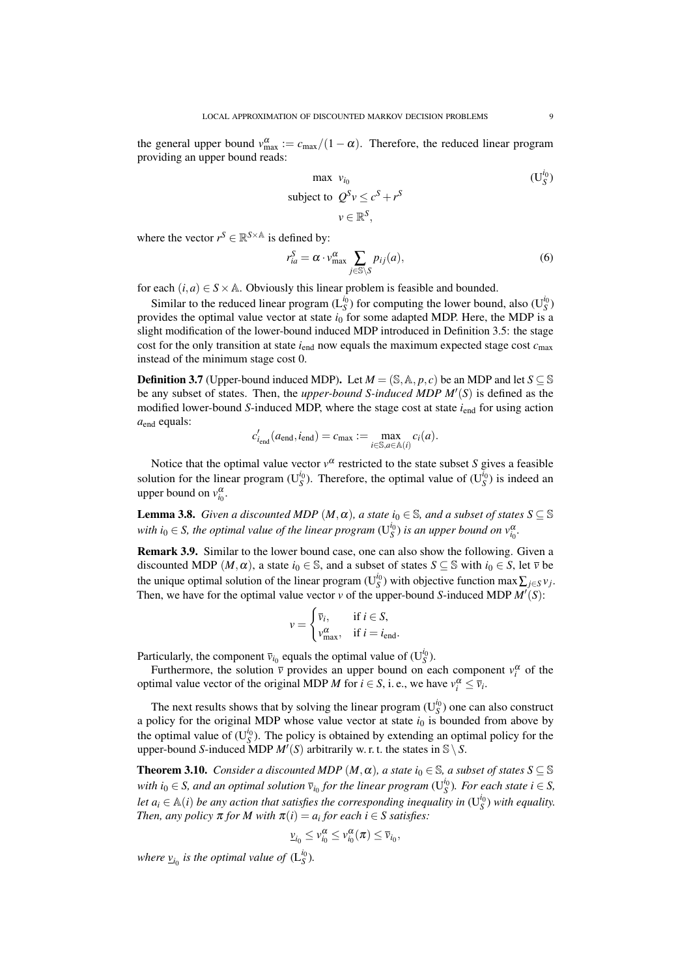the general upper bound  $v_{\text{max}}^{\alpha} := c_{\text{max}}/(1 - \alpha)$ . Therefore, the reduced linear program providing an upper bound reads:

$$
\begin{aligned}\n\max \quad & v_{i_0} \\
\text{subject to} \quad & \mathcal{Q}^S v \le c^S + r^S \\
& v \in \mathbb{R}^S,\n\end{aligned}
$$
\n
$$
(U_S^{i_0})
$$

where the vector  $r^S \in \mathbb{R}^{S \times \mathbb{A}}$  is defined by:

$$
r_{ia}^S = \alpha \cdot v_{\text{max}}^{\alpha} \sum_{j \in \mathcal{S} \setminus S} p_{ij}(a), \tag{6}
$$

for each  $(i, a) \in S \times A$ . Obviously this linear problem is feasible and bounded.

Similar to the reduced linear program  $(L_S^{i_0})$  for computing the lower bound, also  $(U_S^{i_0})$ provides the optimal value vector at state *i*<sup>0</sup> for some adapted MDP. Here, the MDP is a slight modification of the lower-bound induced MDP introduced in Definition 3.5: the stage cost for the only transition at state  $i_{end}$  now equals the maximum expected stage cost  $c_{\text{max}}$ instead of the minimum stage cost 0.

**Definition 3.7** (Upper-bound induced MDP). Let  $M = (\mathbb{S}, \mathbb{A}, p, c)$  be an MDP and let  $S \subseteq \mathbb{S}$ be any subset of states. Then, the *upper-bound* S-induced MDP  $M'(S)$  is defined as the modified lower-bound *S*-induced MDP, where the stage cost at state  $i_{end}$  for using action  $a_{end}$  equals:

$$
c'_{i_{\text{end}}}(a_{\text{end}}, i_{\text{end}}) = c_{\text{max}} := \max_{i \in \mathbb{S}, a \in \mathbb{A}(i)} c_i(a).
$$

Notice that the optimal value vector  $v^{\alpha}$  restricted to the state subset *S* gives a feasible solution for the linear program ( $U_S^{i_0}$ ). Therefore, the optimal value of ( $U_S^{i_0}$ ) is indeed an upper bound on  $v_{i_0}^{\alpha}$ .

**Lemma 3.8.** *Given a discounted MDP*  $(M, \alpha)$ *, a state i*<sub>0</sub>  $\in$  *S, and a subset of states S*  $\subseteq$  *S* with  $i_0 \in S$ , the optimal value of the linear program  $(U_S^{i_0})$  is an upper bound on  $v_{i_0}^{\alpha}$ .

Remark 3.9. Similar to the lower bound case, one can also show the following. Given a discounted MDP  $(M, \alpha)$ , a state  $i_0 \in \mathbb{S}$ , and a subset of states  $S \subseteq \mathbb{S}$  with  $i_0 \in S$ , let  $\overline{v}$  be the unique optimal solution of the linear program ( $U_S^{i_0}$ ) with objective function max  $\sum_{j \in S} v_j$ . Then, we have for the optimal value vector  $v$  of the upper-bound *S*-induced MDP  $M'(S)$ :

$$
v = \begin{cases} \overline{v}_i, & \text{if } i \in S, \\ v_{\text{max}}^{\alpha}, & \text{if } i = i_{\text{end}}. \end{cases}
$$

Particularly, the component  $\bar{v}_{i_0}$  equals the optimal value of  $(U_S^{i_0})$ .

Furthermore, the solution  $\bar{v}$  provides an upper bound on each component  $v_i^{\alpha}$  of the optimal value vector of the original MDP *M* for  $i \in S$ , i.e., we have  $v_i^{\alpha} \le \overline{v}_i$ .

The next results shows that by solving the linear program  $(U_S^{i_0})$  one can also construct a policy for the original MDP whose value vector at state  $i<sub>0</sub>$  is bounded from above by the optimal value of  $(U_S^{i_0})$ . The policy is obtained by extending an optimal policy for the upper-bound *S*-induced MDP  $M'(S)$  arbitrarily w. r. t. the states in  $\mathcal{S} \setminus S$ .

**Theorem 3.10.** *Consider a discounted MDP*  $(M, \alpha)$ *, a state*  $i_0 \in \mathbb{S}$ *, a subset of states*  $S \subseteq \mathbb{S}$ *with*  $i_0 \in S$ , and an optimal solution  $\bar{v}_{i_0}$  for the linear program ( $U_S^{i_0}$ ). For each state  $i \in S$ , *let*  $a_i \in A(i)$  *be any action that satisfies the corresponding inequality in*  $(U_S^{i_0})$  *with equality. Then, any policy*  $\pi$  *for*  $M$  *with*  $\pi(i) = a_i$  *for each*  $i \in S$  *satisfies:* 

$$
\underline{\nu}_{i_0} \leq \nu_{i_0}^{\alpha} \leq \nu_{i_0}^{\alpha}(\pi) \leq \overline{\nu}_{i_0},
$$

where  $\underline{v}_{i_0}$  is the optimal value of  $(L_S^{i_0})$ .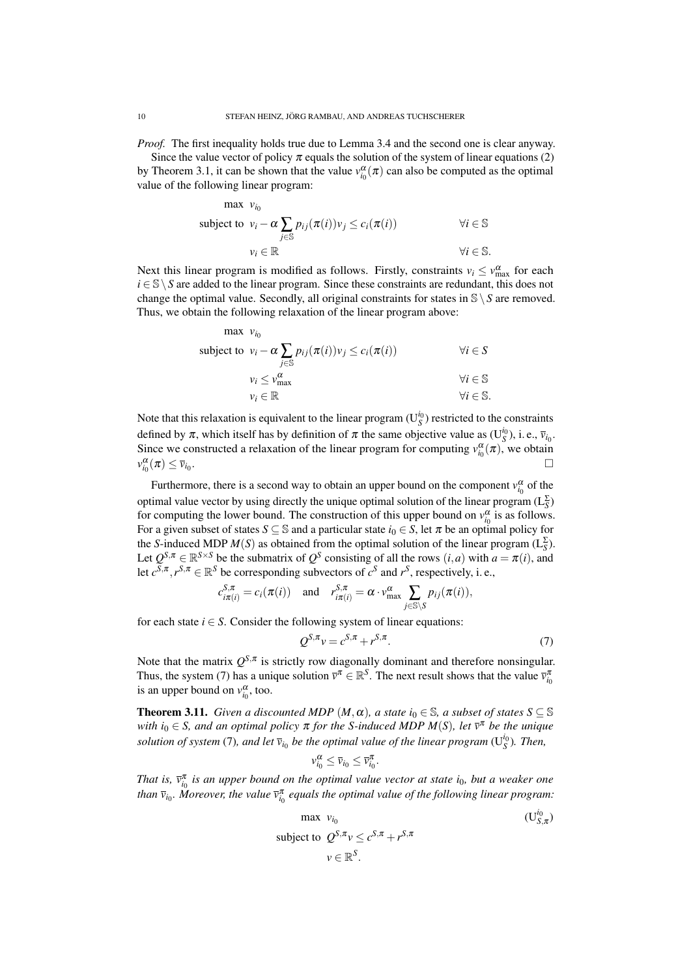*Proof.* The first inequality holds true due to Lemma 3.4 and the second one is clear anyway.

Since the value vector of policy  $\pi$  equals the solution of the system of linear equations (2) by Theorem 3.1, it can be shown that the value  $v_{i_0}^{\alpha}(\pi)$  can also be computed as the optimal value of the following linear program:

max 
$$
v_{i_0}
$$
  
\nsubject to  $v_i - \alpha \sum_{j \in \mathbb{S}} p_{ij}(\pi(i)) v_j \le c_i(\pi(i))$   $\forall i \in \mathbb{S}$   
\n $v_i \in \mathbb{R}$   $\forall i \in \mathbb{S}$ .

Next this linear program is modified as follows. Firstly, constraints  $v_i \le v_{\text{max}}^{\alpha}$  for each *i* ∈ S \ *S* are added to the linear program. Since these constraints are redundant, this does not change the optimal value. Secondly, all original constraints for states in  $\mathcal{S} \setminus S$  are removed. Thus, we obtain the following relaxation of the linear program above:

max 
$$
v_{i_0}
$$
  
\nsubject to  $v_i - \alpha \sum_{j \in \mathbb{S}} p_{ij}(\pi(i))v_j \le c_i(\pi(i))$   $\forall i \in S$   
\n $v_i \le v_{\text{max}}^{\alpha}$   $\forall i \in \mathbb{S}$   
\n $v_i \in \mathbb{R}$   $\forall i \in \mathbb{S}$ .

Note that this relaxation is equivalent to the linear program  $(U<sub>S</sub><sup>i<sub>0</sub></sup>)$  restricted to the constraints defined by  $\pi$ , which itself has by definition of  $\pi$  the same objective value as  $(U_S^{i_0})$ , i.e.,  $\bar{v}_{i_0}$ . Since we constructed a relaxation of the linear program for computing  $v_{i_0}^{\alpha}(\pi)$ , we obtain  $v_{i_0}^{\alpha}(\pi) \leq \overline{v}_{i_0}$ .

Furthermore, there is a second way to obtain an upper bound on the component  $v_{i_0}^{\alpha}$  of the optimal value vector by using directly the unique optimal solution of the linear program  $(L_S^{\Sigma})$ for computing the lower bound. The construction of this upper bound on  $v_{i_0}^{\alpha}$  is as follows. For a given subset of states  $S \subseteq \mathbb{S}$  and a particular state  $i_0 \in S$ , let  $\pi$  be an optimal policy for the *S*-induced MDP  $M(S)$  as obtained from the optimal solution of the linear program ( $L_S^{\Sigma}$ ). Let  $Q^{S,\pi} \in \mathbb{R}^{S \times S}$  be the submatrix of  $Q^S$  consisting of all the rows  $(i,a)$  with  $a = \pi(i)$ , and let  $c^{S,\pi}, r^{S,\pi} \in \mathbb{R}^S$  be corresponding subvectors of  $c^S$  and  $r^S$ , respectively, i. e.,

$$
c_{i\pi(i)}^{S,\pi} = c_i(\pi(i)) \quad \text{and} \quad r_{i\pi(i)}^{S,\pi} = \alpha \cdot v_{\max}^{\alpha} \sum_{j \in \mathcal{S} \setminus S} p_{ij}(\pi(i)),
$$

for each state  $i \in S$ . Consider the following system of linear equations:

$$
Q^{S,\pi}v = c^{S,\pi} + r^{S,\pi}.\tag{7}
$$

Note that the matrix  $Q^{S,\pi}$  is strictly row diagonally dominant and therefore nonsingular. Thus, the system (7) has a unique solution  $\overline{v}^{\pi} \in \mathbb{R}^{S}$ . The next result shows that the value  $\overline{v}_{i_0}^{\pi}$ is an upper bound on  $v_{i_0}^{\alpha}$ , too.

**Theorem 3.11.** *Given a discounted MDP*  $(M, \alpha)$ *, a state*  $i_0 \in \mathbb{S}$ *, a subset of states*  $S \subseteq \mathbb{S}$ *with i*<sup>0</sup> ∈ *S, and an optimal policy* π *for the S-induced MDP M*(*S*)*, let v* <sup>π</sup> *be the unique solution of system* (7), and let  $\bar{v}_{i_0}$  be the optimal value of the linear program ( $U_S^{i_0}$ ). Then,

$$
v_{i_0}^{\alpha} \le \overline{v}_{i_0} \le \overline{v}_{i_0}^{\pi}
$$

.

*That is,*  $\bar{v}_{i_0}^{\pi}$  *is an upper bound on the optimal value vector at state*  $i_0$ *, but a weaker one* than  $\bar{v}_{i_0}$ . Moreover, the value  $\bar{v}_{i_0}^{\pi}$  equals the optimal value of the following linear program:

max 
$$
v_{i_0}
$$
  
\nsubject to  $Q^{S,\pi}v \le c^{S,\pi} + r^{S,\pi}$   
\n $v \in \mathbb{R}^S$ .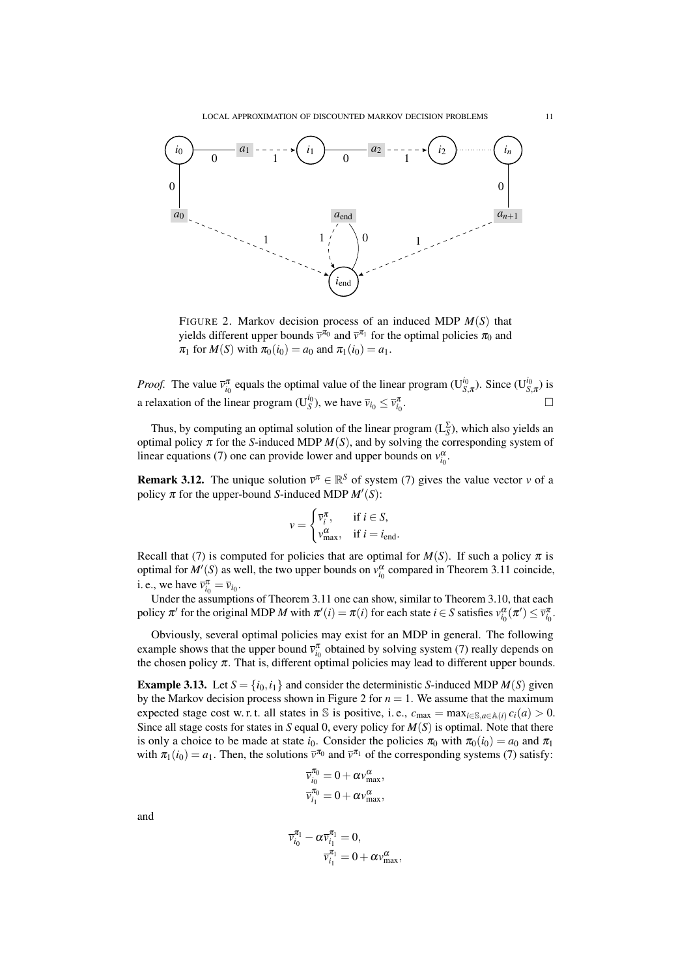

FIGURE 2. Markov decision process of an induced MDP *M*(*S*) that yields different upper bounds  $\bar{v}^{\pi_0}$  and  $\bar{v}^{\pi_1}$  for the optimal policies  $\pi_0$  and  $\pi_1$  for  $M(S)$  with  $\pi_0(i_0) = a_0$  and  $\pi_1(i_0) = a_1$ .

*Proof.* The value  $\bar{v}_{i_0}^{\pi}$  equals the optimal value of the linear program (U<sup>*i*<sub>0</sub></sup>, $\pi$ ). Since (U<sup>*i*<sub>0</sub></sup>, $\pi$ ) is a relaxation of the linear program ( $U_S^{i_0}$ ), we have  $\bar{v}_{i_0} \leq \bar{v}_{i_0}^{\pi}$ . — Первый процесс в постановки программа в серверном становки производительности производительности производи<br>В серверном становки производительно производительно производительно производительно производительно производи

Thus, by computing an optimal solution of the linear program  $(L_S^{\Sigma})$ , which also yields an optimal policy  $\pi$  for the *S*-induced MDP  $M(S)$ , and by solving the corresponding system of linear equations (7) one can provide lower and upper bounds on  $v_{i_0}^{\alpha}$ .

**Remark 3.12.** The unique solution  $\bar{v}^{\pi} \in \mathbb{R}^{S}$  of system (7) gives the value vector *v* of a policy  $\pi$  for the upper-bound *S*-induced MDP  $M'(S)$ :

$$
v = \begin{cases} \overline{v}_i^{\pi}, & \text{if } i \in S, \\ v_{\text{max}}^{\alpha}, & \text{if } i = i_{\text{end}}. \end{cases}
$$

Recall that (7) is computed for policies that are optimal for  $M(S)$ . If such a policy  $\pi$  is optimal for  $M'(S)$  as well, the two upper bounds on  $v_{i_0}^{\alpha}$  compared in Theorem 3.11 coincide, i. e., we have  $\overline{v}_{i_0}^{\pi} = \overline{v}_{i_0}$ .

Under the assumptions of Theorem 3.11 one can show, similar to Theorem 3.10, that each policy  $\pi'$  for the original MDP *M* with  $\pi'(i) = \pi(i)$  for each state  $i \in S$  satisfies  $v_{i_0}^{\alpha}(\pi') \leq \bar{v}_{i_0}^{\pi}$ .

Obviously, several optimal policies may exist for an MDP in general. The following example shows that the upper bound  $\bar{v}_{i_0}^{\pi}$  obtained by solving system (7) really depends on the chosen policy  $\pi$ . That is, different optimal policies may lead to different upper bounds.

**Example 3.13.** Let  $S = \{i_0, i_1\}$  and consider the deterministic *S*-induced MDP  $M(S)$  given by the Markov decision process shown in Figure 2 for  $n = 1$ . We assume that the maximum expected stage cost w. r. t. all states in S is positive, i. e.,  $c_{\text{max}} = \max_{i \in \mathbb{S}, a \in \mathbb{A}(i)} c_i(a) > 0$ . Since all stage costs for states in *S* equal 0, every policy for  $M(S)$  is optimal. Note that there is only a choice to be made at state *i*<sub>0</sub>. Consider the policies  $\pi_0$  with  $\pi_0(i_0) = a_0$  and  $\pi_1$ with  $\pi_1(i_0) = a_1$ . Then, the solutions  $\bar{v}^{\pi_0}$  and  $\bar{v}^{\pi_1}$  of the corresponding systems (7) satisfy:

$$
\begin{aligned} \overline{\nu}_{i_0}^{\pi_0} &= 0 + \alpha \nu_{max}^{\alpha}, \\ \overline{\nu}_{i_1}^{\pi_0} &= 0 + \alpha \nu_{max}^{\alpha}, \end{aligned}
$$

and

$$
\begin{aligned} \overline{\nu}_{i_0}^{\pi_1}-\alpha\overline{\nu}_{i_1}^{\pi_1}=0,\\ \overline{\nu}_{i_1}^{\pi_1}=0+\alpha\nu_{\max}^{\alpha}, \end{aligned}
$$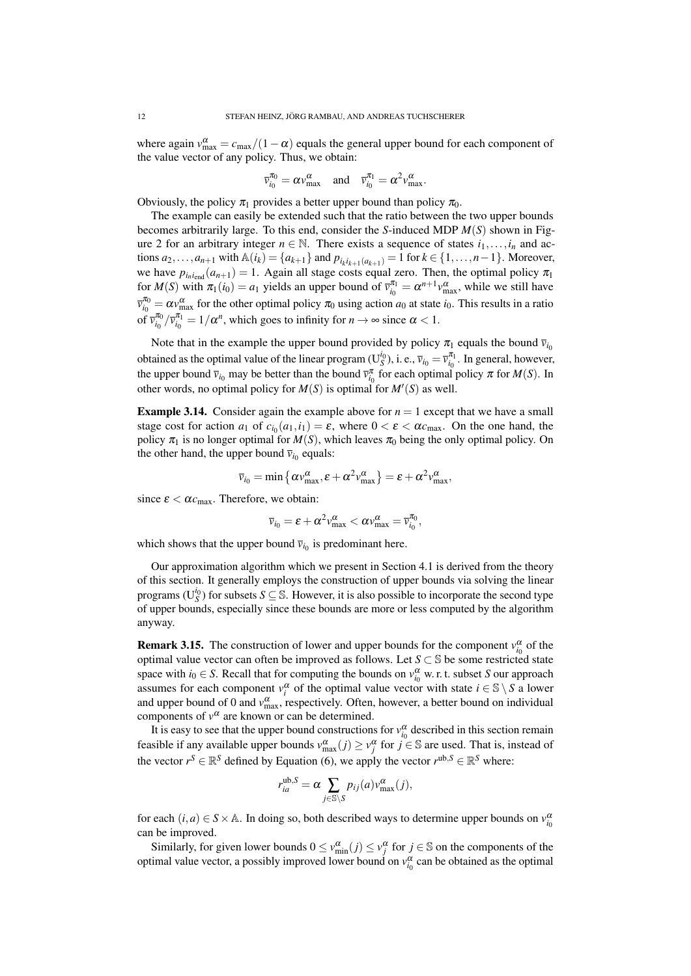where again  $v_{\text{max}}^{\alpha} = c_{\text{max}}/(1 - \alpha)$  equals the general upper bound for each component of the value vector of any policy. Thus, we obtain:

$$
\overline{v}_{i_0}^{\pi_0} = \alpha v_{\text{max}}^{\alpha} \quad \text{and} \quad \overline{v}_{i_0}^{\pi_1} = \alpha^2 v_{\text{max}}^{\alpha}.
$$

Obviously, the policy  $\pi_1$  provides a better upper bound than policy  $\pi_0$ .

The example can easily be extended such that the ratio between the two upper bounds becomes arbitrarily large. To this end, consider the *S*-induced MDP *M*(*S*) shown in Figure 2 for an arbitrary integer  $n \in \mathbb{N}$ . There exists a sequence of states  $i_1, \ldots, i_n$  and actions  $a_2, ..., a_{n+1}$  with  $\mathbb{A}(i_k) = \{a_{k+1}\}\$  and  $p_{i_k i_{k+1}(a_{k+1})} = 1$  for  $k \in \{1, ..., n-1\}$ . Moreover, we have  $p_{i_n i_{\text{end}}} (a_{n+1}) = 1$ . Again all stage costs equal zero. Then, the optimal policy  $\pi_1$ for  $M(S)$  with  $\pi_1(i_0) = a_1$  yields an upper bound of  $\bar{v}_{i_0}^{\pi_1} = \alpha^{n+1} v_{\max}^{\alpha}$ , while we still have  $\overline{v}_{i_0}^{\pi_0} = \alpha v_{\text{max}}^{\alpha}$  for the other optimal policy  $\pi_0$  using action  $a_0$  at state  $i_0$ . This results in a ratio of  $\bar{v}_{i_0}^{\pi_0}/\bar{v}_{i_0}^{\pi_1} = 1/\alpha^n$ , which goes to infinity for  $n \to \infty$  since  $\alpha < 1$ .

Note that in the example the upper bound provided by policy  $\pi_1$  equals the bound  $\bar{v}_{i_0}$ obtained as the optimal value of the linear program ( $U_S^{i_0}$ ), i. e.,  $\bar{v}_{i_0} = \bar{v}_{i_0}^{\pi_1}$ . In general, however, the upper bound  $\bar{v}_{i_0}$  may be better than the bound  $\bar{v}_{i_0}^{\pi}$  for each optimal policy  $\pi$  for  $M(S)$ . In other words, no optimal policy for  $M(S)$  is optimal for  $M'(S)$  as well.

**Example 3.14.** Consider again the example above for  $n = 1$  except that we have a small stage cost for action  $a_1$  of  $c_{i_0}(a_1, i_1) = \varepsilon$ , where  $0 < \varepsilon < \alpha c_{\text{max}}$ . On the one hand, the policy  $\pi_1$  is no longer optimal for  $M(S)$ , which leaves  $\pi_0$  being the only optimal policy. On the other hand, the upper bound  $\bar{v}_{i_0}$  equals:

$$
\overline{v}_{i_0} = \min\left\{\alpha v_{\max}^{\alpha}, \varepsilon + \alpha^2 v_{\max}^{\alpha}\right\} = \varepsilon + \alpha^2 v_{\max}^{\alpha},
$$

since  $\varepsilon < \alpha c_{\text{max}}$ . Therefore, we obtain:

$$
\overline{v}_{i_0} = \varepsilon + \alpha^2 v_{\text{max}}^{\alpha} < \alpha v_{\text{max}}^{\alpha} = \overline{v}_{i_0}^{\pi_0},
$$

which shows that the upper bound  $\bar{v}_{i_0}$  is predominant here.

Our approximation algorithm which we present in Section 4.1 is derived from the theory of this section. It generally employs the construction of upper bounds via solving the linear programs ( $U_S^{i_0}$ ) for subsets  $S \subseteq \mathbb{S}$ . However, it is also possible to incorporate the second type of upper bounds, especially since these bounds are more or less computed by the algorithm anyway.

**Remark 3.15.** The construction of lower and upper bounds for the component  $v_{i_0}^{\alpha}$  of the optimal value vector can often be improved as follows. Let *S* ⊂ S be some restricted state space with  $i_0 \in S$ . Recall that for computing the bounds on  $v_{i_0}^{\alpha}$  w. r. t. subset *S* our approach assumes for each component  $v_i^{\alpha}$  of the optimal value vector with state  $i \in \mathbb{S} \setminus S$  a lower and upper bound of 0 and  $v_{\text{max}}^{\alpha}$ , respectively. Often, however, a better bound on individual components of  $v^{\alpha}$  are known or can be determined.

It is easy to see that the upper bound constructions for  $v_{i_0}^{\alpha}$  described in this section remain feasible if any available upper bounds  $v_{\text{max}}^{\alpha}(j) \ge v_j^{\alpha}$  for  $j \in \mathbb{S}$  are used. That is, instead of the vector  $r^S \in \mathbb{R}^S$  defined by Equation (6), we apply the vector  $r^{\text{ub},S} \in \mathbb{R}^S$  where:

$$
r_{ia}^{\text{ub},S} = \alpha \sum_{j \in \mathbb{S} \setminus S} p_{ij}(a) v_{\text{max}}^{\alpha}(j),
$$

for each  $(i, a) \in S \times A$ . In doing so, both described ways to determine upper bounds on  $v_{i_0}^{\alpha}$ can be improved.

Similarly, for given lower bounds  $0 \le v_{\min}^{\alpha}(j) \le v_j^{\alpha}$  for  $j \in \mathbb{S}$  on the components of the optimal value vector, a possibly improved lower bound on  $v_{i_0}^{\alpha}$  can be obtained as the optimal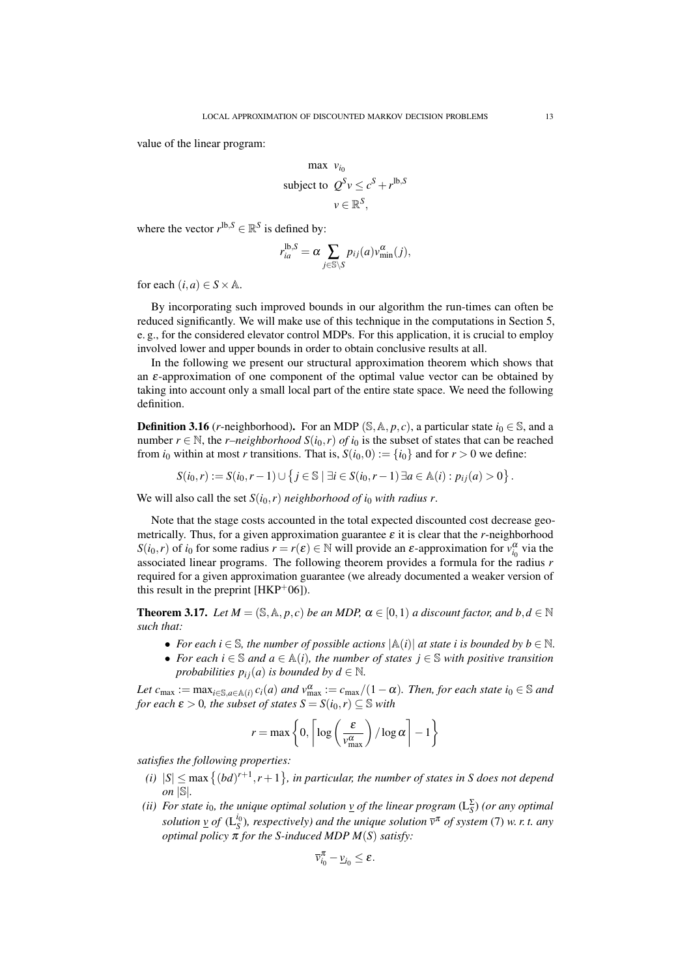value of the linear program:

$$
\max \, v_{i_0}
$$
\n
$$
\text{subject to } Q^S v \le c^S + r^{\text{lb}, S}
$$
\n
$$
v \in \mathbb{R}^S,
$$

where the vector  $r^{\text{lb},S} \in \mathbb{R}^S$  is defined by:

$$
r_{ia}^{\text{lb},S} = \alpha \sum_{j \in \mathbb{S} \setminus S} p_{ij}(a) v_{\min}^{\alpha}(j),
$$

for each  $(i, a) \in S \times \mathbb{A}$ .

By incorporating such improved bounds in our algorithm the run-times can often be reduced significantly. We will make use of this technique in the computations in Section 5, e. g., for the considered elevator control MDPs. For this application, it is crucial to employ involved lower and upper bounds in order to obtain conclusive results at all.

In the following we present our structural approximation theorem which shows that an  $\varepsilon$ -approximation of one component of the optimal value vector can be obtained by taking into account only a small local part of the entire state space. We need the following definition.

**Definition 3.16** (*r*-neighborhood). For an MDP (S,  $\mathbb{A}, p, c$ ), a particular state  $i_0 \in \mathbb{S}$ , and a number  $r \in \mathbb{N}$ , the *r–neighborhood*  $S(i_0, r)$  *of*  $i_0$  is the subset of states that can be reached from  $i_0$  within at most *r* transitions. That is,  $S(i_0, 0) := \{i_0\}$  and for  $r > 0$  we define:

$$
S(i_0,r) := S(i_0,r-1) \cup \{ j \in \mathbb{S} \mid \exists i \in S(i_0,r-1) \exists a \in \mathbb{A}(i) : p_{ij}(a) > 0 \}.
$$

We will also call the set  $S(i_0, r)$  *neighborhood of i<sub>0</sub> with radius r*.

Note that the stage costs accounted in the total expected discounted cost decrease geometrically. Thus, for a given approximation guarantee  $\varepsilon$  it is clear that the *r*-neighborhood *S*(*i*<sub>0</sub>,*r*) of *i*<sub>0</sub> for some radius  $r = r(\varepsilon) \in \mathbb{N}$  will provide an  $\varepsilon$ -approximation for  $v_{i_0}^{\alpha}$  via the associated linear programs. The following theorem provides a formula for the radius *r* required for a given approximation guarantee (we already documented a weaker version of this result in the preprint  $[HKP<sup>+</sup>06]$ ).

**Theorem 3.17.** *Let*  $M = (\mathbb{S}, \mathbb{A}, p, c)$  *be an MDP,*  $\alpha \in [0, 1)$  *a discount factor, and*  $b, d \in \mathbb{N}$ *such that:*

• For each  $i \in \mathbb{S}$ , the number of possible actions  $|\mathbb{A}(i)|$  at state *i* is bounded by  $b \in \mathbb{N}$ . • *For each*  $i \in \mathbb{S}$  *and*  $a \in \mathbb{A}(i)$ *, the number of states*  $j \in \mathbb{S}$  *with positive transition probabilities*  $p_{ij}(a)$  *is bounded by d*  $\in \mathbb{N}$ *.* 

 $Let\ c_{\max} := \max_{i \in \mathbb{S}, a \in \mathbb{A}(i)} c_i(a)$  and  $v_{\max}^{\alpha} := c_{\max}/(1-\alpha)$ . Then, for each state  $i_0 \in \mathbb{S}$  and *for each*  $\varepsilon > 0$ *, the subset of states*  $S = S(i_0, r) \subseteq S$  *with* 

$$
r = \max \left\{ 0, \left\lceil \log \left( \frac{\varepsilon}{v_{\text{max}}^{\alpha}} \right) / \log \alpha \right\rceil - 1 \right\}
$$

*satisfies the following properties:*

- (*i*)  $|S| \leq \max\left\{ (bd)^{r+1}, r+1 \right\}$ , in particular, the number of states in *S* does not depend *on* |S|*.*
- *(ii) For state i*<sub>0</sub>*, the unique optimal solution*  $\underline{v}$  *of the linear program* ( $L_S^{\Sigma}$ ) *(or any optimal solution*  $\underline{v}$  *of* ( $L_S^{i_0}$ )*, respectively) and the unique solution*  $\overline{v}^{\pi}$  *of system* (7) *w. r. t. any optimal policy*  $\pi$  *for the S-induced MDP M(S) satisfy:*

$$
\overline{v}_{i_0}^\pi-\underline{v}_{i_0}\leq \varepsilon.
$$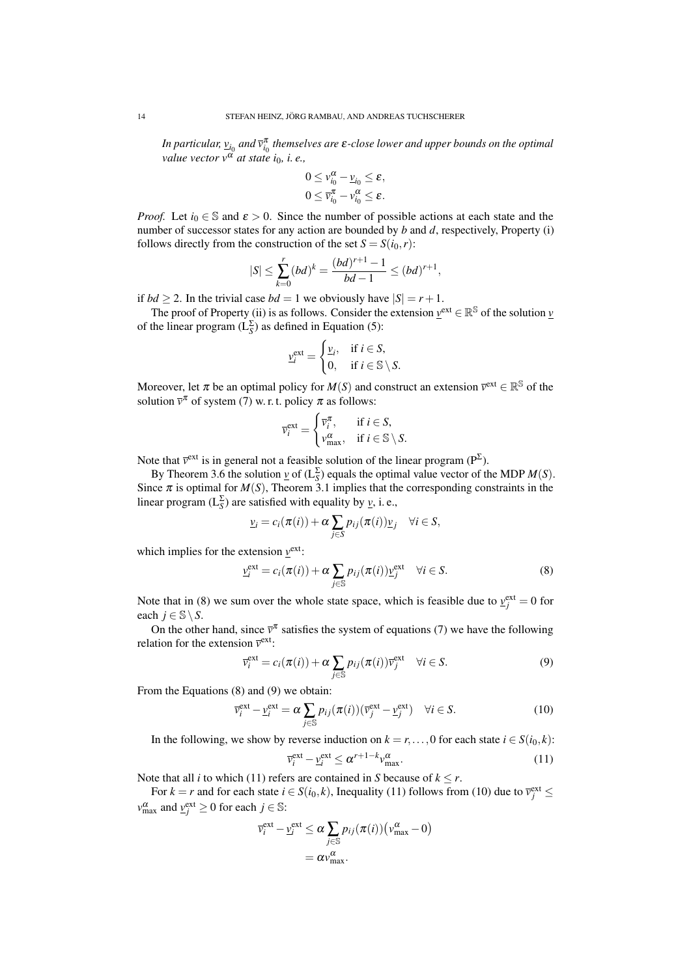In particular,  $\underline{v}_{i_0}$  and  $\overline{v}_{i_0}^{\pi}$  themselves are  $\varepsilon$ -close lower and upper bounds on the optimal *value vector*  $v^{\alpha}$  *at state i*<sub>0</sub>*, i.e.*,

$$
0 \leq v_{i_0}^{\alpha} - \underline{v}_{i_0} \leq \varepsilon,
$$
  

$$
0 \leq \overline{v}_{i_0}^{\pi} - v_{i_0}^{\alpha} \leq \varepsilon.
$$

*Proof.* Let  $i_0 \in \mathbb{S}$  and  $\varepsilon > 0$ . Since the number of possible actions at each state and the number of successor states for any action are bounded by *b* and *d*, respectively, Property (i) follows directly from the construction of the set  $S = S(i_0, r)$ :

$$
|S| \leq \sum_{k=0}^r (bd)^k = \frac{(bd)^{r+1}-1}{bd-1} \leq (bd)^{r+1},
$$

if  $bd \ge 2$ . In the trivial case  $bd = 1$  we obviously have  $|S| = r + 1$ .

The proof of Property (ii) is as follows. Consider the extension  $\underline{v}^{\text{ext}} \in \mathbb{R}^{\mathbb{S}}$  of the solution *v* of the linear program  $(L_S^{\Sigma})$  as defined in Equation (5):

$$
\underline{v}_{i}^{\text{ext}} = \begin{cases} \underline{v}_{i}, & \text{if } i \in S, \\ 0, & \text{if } i \in \mathbb{S} \setminus S. \end{cases}
$$

Moreover, let  $\pi$  be an optimal policy for  $M(S)$  and construct an extension  $\bar{v}^{\text{ext}} \in \mathbb{R}^{\mathbb{S}}$  of the solution  $\bar{v}^{\pi}$  of system (7) w. r. t. policy  $\pi$  as follows:

$$
\overline{v}_{i}^{\text{ext}} = \begin{cases} \overline{v}_{i}^{\pi}, & \text{if } i \in S, \\ v_{\text{max}}^{\alpha}, & \text{if } i \in \mathbb{S} \setminus S. \end{cases}
$$

Note that  $\bar{v}^{\text{ext}}$  is in general not a feasible solution of the linear program ( $P^{\Sigma}$ ).

By Theorem 3.6 the solution  $\underline{v}$  of  $(L_S^{\Sigma})$  equals the optimal value vector of the MDP  $M(S)$ . Since  $\pi$  is optimal for  $M(S)$ , Theorem 3.1 implies that the corresponding constraints in the linear program ( $L_S^{\Sigma}$ ) are satisfied with equality by *v*, i.e.,

$$
\underline{v}_i = c_i(\pi(i)) + \alpha \sum_{j \in S} p_{ij}(\pi(i)) \underline{v}_j \quad \forall i \in S,
$$

which implies for the extension  $y^{\text{ext}}$ :

$$
\underline{v}_i^{\text{ext}} = c_i(\pi(i)) + \alpha \sum_{j \in \mathbb{S}} p_{ij}(\pi(i)) \underline{v}_j^{\text{ext}} \quad \forall i \in S. \tag{8}
$$

Note that in (8) we sum over the whole state space, which is feasible due to  $v_j^{\text{ext}} = 0$  for each  $j \in \mathbb{S} \setminus S$ .

On the other hand, since  $\bar{v}^{\pi}$  satisfies the system of equations (7) we have the following relation for the extension  $\bar{v}^{\text{ext}}$ :

$$
\overline{v}_i^{\text{ext}} = c_i(\pi(i)) + \alpha \sum_{j \in \mathbb{S}} p_{ij}(\pi(i)) \overline{v}_j^{\text{ext}} \quad \forall i \in S. \tag{9}
$$

From the Equations (8) and (9) we obtain:

$$
\overline{v}_i^{\text{ext}} - \underline{v}_i^{\text{ext}} = \alpha \sum_{j \in \mathbb{S}} p_{ij}(\pi(i)) (\overline{v}_j^{\text{ext}} - \underline{v}_j^{\text{ext}}) \quad \forall i \in S. \tag{10}
$$

In the following, we show by reverse induction on  $k = r, \ldots, 0$  for each state  $i \in S(i_0, k)$ :

$$
\overline{\mathbf{v}}_i^{\text{ext}} - \underline{\mathbf{v}}_i^{\text{ext}} \le \alpha^{r+1-k} \mathbf{v}_{\text{max}}^{\alpha}.
$$
\n(11)

Note that all *i* to which (11) refers are contained in *S* because of  $k \le r$ .

For  $k = r$  and for each state  $i \in S(i_0, k)$ , Inequality (11) follows from (10) due to  $\overline{v}_j^{\text{ext}} \leq$  $v_{\text{max}}^{\alpha}$  and  $v_j^{\text{ext}} \geq 0$  for each  $j \in \mathbb{S}$ :

$$
\overline{v}_{i}^{\text{ext}} - \underline{v}_{i}^{\text{ext}} \le \alpha \sum_{j \in \mathbb{S}} p_{ij}(\pi(i)) (v_{\text{max}}^{\alpha} - 0)
$$

$$
= \alpha v_{\text{max}}^{\alpha}.
$$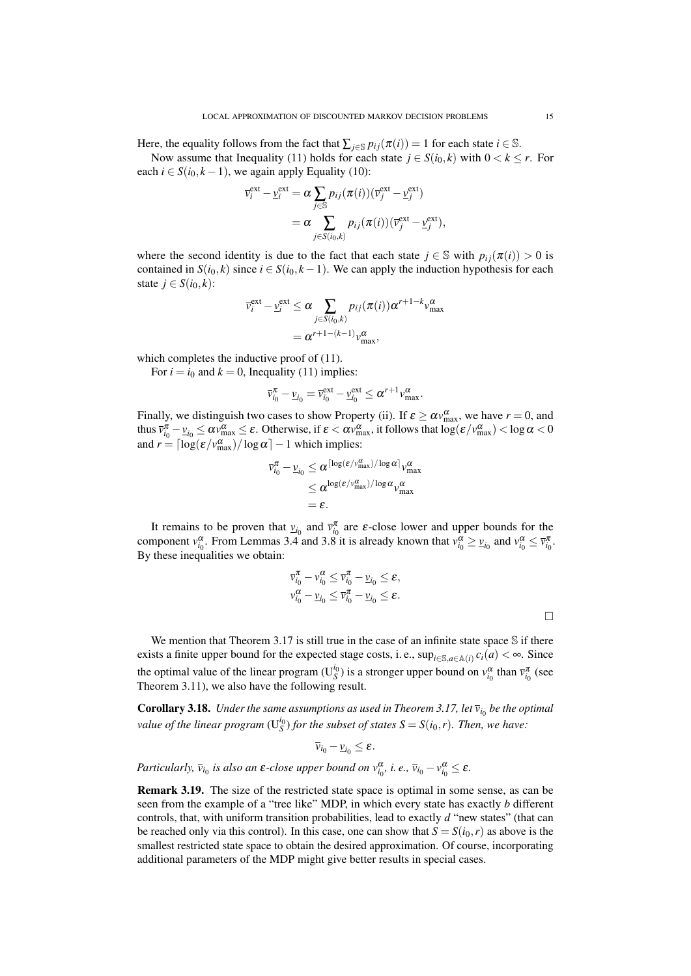Here, the equality follows from the fact that  $\sum_{j \in \mathcal{S}} p_{ij}(\pi(i)) = 1$  for each state  $i \in \mathcal{S}$ .

Now assume that Inequality (11) holds for each state  $j \in S(i_0, k)$  with  $0 < k \leq r$ . For each  $i \in S(i_0, k-1)$ , we again apply Equality (10):

$$
\overline{v}_i^{\text{ext}} - \underline{v}_i^{\text{ext}} = \alpha \sum_{j \in \mathbb{S}} p_{ij}(\pi(i)) (\overline{v}_j^{\text{ext}} - \underline{v}_j^{\text{ext}})
$$
  
= 
$$
\alpha \sum_{j \in S(i_0, k)} p_{ij}(\pi(i)) (\overline{v}_j^{\text{ext}} - \underline{v}_j^{\text{ext}}),
$$

where the second identity is due to the fact that each state  $j \in \mathbb{S}$  with  $p_{ij}(\pi(i)) > 0$  is contained in  $S(i_0, k)$  since  $i \in S(i_0, k - 1)$ . We can apply the induction hypothesis for each state  $j \in S(i_0, k)$ :

$$
\overline{v}_i^{\text{ext}} - \underline{v}_i^{\text{ext}} \le \alpha \sum_{j \in S(i_0, k)} p_{ij}(\pi(i)) \alpha^{r+1-k} v_{\text{max}}^{\alpha}
$$

$$
= \alpha^{r+1-(k-1)} v_{\text{max}}^{\alpha},
$$

which completes the inductive proof of  $(11)$ .

For  $i = i_0$  and  $k = 0$ , Inequality (11) implies:

$$
\overline{v}_{i_0}^{\pi} - \underline{v}_{i_0} = \overline{v}_{i_0}^{\text{ext}} - \underline{v}_{i_0}^{\text{ext}} \le \alpha^{r+1} v_{\text{max}}^{\alpha}.
$$

Finally, we distinguish two cases to show Property (ii). If  $\varepsilon \ge \alpha v_{\text{max}}^{\alpha}$ , we have  $r = 0$ , and thus  $\overline{v}_{i_0}^{\pi} - \underline{v}_{i_0} \le \alpha v_{\max}^{\alpha} \le \varepsilon$ . Otherwise, if  $\varepsilon < \alpha v_{\max}^{\alpha}$ , it follows that  $\log(\varepsilon/v_{\max}^{\alpha}) < \log \alpha < 0$ and  $r = \lceil \log(\varepsilon / v_{\text{max}}^{\alpha}) / \log \alpha \rceil - 1$  which implies:

$$
\overline{v}_{i_0}^{\pi} - \underline{v}_{i_0} \leq \alpha^{\lceil \log(\varepsilon / v_{\text{max}}^{\alpha}) / \log \alpha \rceil} v_{\text{max}}^{\alpha}
$$

$$
\leq \alpha^{\log(\varepsilon / v_{\text{max}}^{\alpha}) / \log \alpha} v_{\text{max}}^{\alpha}
$$

$$
= \varepsilon.
$$

It remains to be proven that  $v_{i_0}$  and  $\bar{v}_{i_0}^{\pi}$  are  $\varepsilon$ -close lower and upper bounds for the component  $v_{i_0}^{\alpha}$ . From Lemmas 3.4 and 3.8 it is already known that  $v_{i_0}^{\alpha} \ge v_{i_0}$  and  $v_{i_0}^{\alpha} \le \bar{v}_{i_0}^{\pi}$ . By these inequalities we obtain:

$$
\begin{array}{l} \overline{\nu}_{i_0}^\pi - \nu_{i_0}^\alpha \leq \overline{\nu}_{i_0}^\pi - \underline{\nu}_{i_0} \leq \boldsymbol{\varepsilon}, \\ \nu_{i_0}^\alpha - \underline{\nu}_{i_0} \leq \overline{\nu}_{i_0}^\pi - \underline{\nu}_{i_0} \leq \boldsymbol{\varepsilon}. \end{array}
$$

We mention that Theorem 3.17 is still true in the case of an infinite state space  $\mathcal S$  if there exists a finite upper bound for the expected stage costs, i. e.,  $\sup_{i\in\mathbb{S},a\in\mathbb{A}(i)}c_i(a)<\infty$ . Since the optimal value of the linear program ( $U_S^{i_0}$ ) is a stronger upper bound on  $v_{i_0}^{\alpha}$  than  $\bar{v}_{i_0}^{\pi}$  (see Theorem 3.11), we also have the following result.

**Corollary 3.18.** Under the same assumptions as used in Theorem 3.17, let  $\bar{v}_{i_0}$  be the optimal *value of the linear program*  $(U_S^{i_0})$  *for the subset of states*  $S = S(i_0,r)$ *. Then, we have:* 

 $\overline{v}_{i_0} - \underline{v}_{i_0} \leq \varepsilon.$ 

*Particularly,*  $\bar{v}_{i_0}$  *is also an*  $\varepsilon$ -close upper bound on  $v_{i_0}^{\alpha}$ , *i.e.*,  $\bar{v}_{i_0} - v_{i_0}^{\alpha} \leq \varepsilon$ .

*v*

Remark 3.19. The size of the restricted state space is optimal in some sense, as can be seen from the example of a "tree like" MDP, in which every state has exactly *b* different controls, that, with uniform transition probabilities, lead to exactly *d* "new states" (that can be reached only via this control). In this case, one can show that  $S = S(i_0, r)$  as above is the smallest restricted state space to obtain the desired approximation. Of course, incorporating additional parameters of the MDP might give better results in special cases.

 $\Box$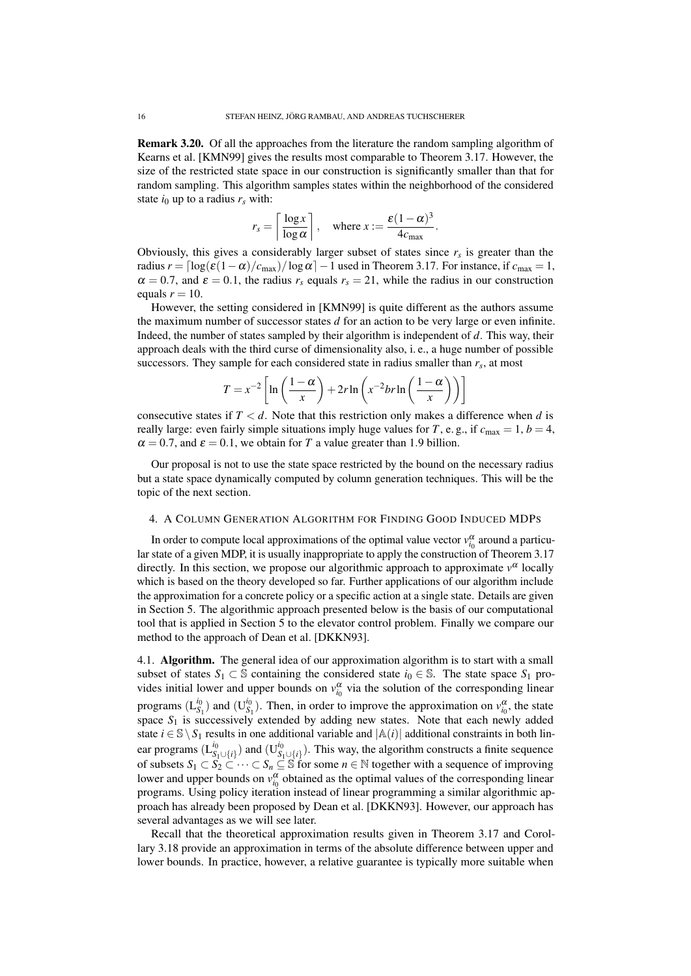Remark 3.20. Of all the approaches from the literature the random sampling algorithm of Kearns et al. [KMN99] gives the results most comparable to Theorem 3.17. However, the size of the restricted state space in our construction is significantly smaller than that for random sampling. This algorithm samples states within the neighborhood of the considered state  $i_0$  up to a radius  $r_s$  with:

$$
r_s = \left\lceil \frac{\log x}{\log \alpha} \right\rceil, \quad \text{where } x := \frac{\varepsilon (1 - \alpha)^3}{4c_{\max}}.
$$

Obviously, this gives a considerably larger subset of states since  $r<sub>s</sub>$  is greater than the radius  $r = \left[\log(\varepsilon(1-\alpha)/c_{\text{max}})/\log \alpha\right]-1$  used in Theorem 3.17. For instance, if  $c_{\text{max}} = 1$ ,  $\alpha = 0.7$ , and  $\varepsilon = 0.1$ , the radius  $r_s$  equals  $r_s = 21$ , while the radius in our construction equals  $r = 10$ .

However, the setting considered in [KMN99] is quite different as the authors assume the maximum number of successor states *d* for an action to be very large or even infinite. Indeed, the number of states sampled by their algorithm is independent of *d*. This way, their approach deals with the third curse of dimensionality also, i. e., a huge number of possible successors. They sample for each considered state in radius smaller than  $r_s$ , at most

$$
T = x^{-2} \left[ \ln \left( \frac{1 - \alpha}{x} \right) + 2r \ln \left( x^{-2} br \ln \left( \frac{1 - \alpha}{x} \right) \right) \right]
$$

consecutive states if  $T < d$ . Note that this restriction only makes a difference when *d* is really large: even fairly simple situations imply huge values for *T*, e.g., if  $c_{\text{max}} = 1, b = 4$ ,  $\alpha = 0.7$ , and  $\varepsilon = 0.1$ , we obtain for *T* a value greater than 1.9 billion.

Our proposal is not to use the state space restricted by the bound on the necessary radius but a state space dynamically computed by column generation techniques. This will be the topic of the next section.

### 4. A COLUMN GENERATION ALGORITHM FOR FINDING GOOD INDUCED MDPS

In order to compute local approximations of the optimal value vector  $v_{i_0}^{\alpha}$  around a particular state of a given MDP, it is usually inappropriate to apply the construction of Theorem 3.17 directly. In this section, we propose our algorithmic approach to approximate  $v^{\alpha}$  locally which is based on the theory developed so far. Further applications of our algorithm include the approximation for a concrete policy or a specific action at a single state. Details are given in Section 5. The algorithmic approach presented below is the basis of our computational tool that is applied in Section 5 to the elevator control problem. Finally we compare our method to the approach of Dean et al. [DKKN93].

4.1. Algorithm. The general idea of our approximation algorithm is to start with a small subset of states  $S_1 \subset \mathbb{S}$  containing the considered state  $i_0 \in \mathbb{S}$ . The state space  $S_1$  provides initial lower and upper bounds on  $v_{i_0}^{\alpha}$  via the solution of the corresponding linear programs (L *i*0  $S_1^{i_0}$ ) and  $(U_S^{i_0})$ <sup>*l*0</sup></sup> $S_1$ ). Then, in order to improve the approximation on  $v_{i_0}^{\alpha}$ , the state space  $S_1$  is successively extended by adding new states. Note that each newly added state  $i \in \mathbb{S} \setminus S_1$  results in one additional variable and  $|\mathbb{A}(i)|$  additional constraints in both linear programs (L<sup>i<sub>0</sub></sup>  $\binom{i_0}{S_1 \cup \{i\}}$  and  $(\mathbf{U}_{S_1}^{i_0})$  $S_1 \cup \{i\}$ ). This way, the algorithm constructs a finite sequence of subsets  $S_1 \subset S_2 \subset \cdots \subset S_n \subseteq \mathbb{S}$  for some  $n \in \mathbb{N}$  together with a sequence of improving lower and upper bounds on  $v_{i_0}^{\alpha}$  obtained as the optimal values of the corresponding linear programs. Using policy iteration instead of linear programming a similar algorithmic approach has already been proposed by Dean et al. [DKKN93]. However, our approach has several advantages as we will see later.

Recall that the theoretical approximation results given in Theorem 3.17 and Corollary 3.18 provide an approximation in terms of the absolute difference between upper and lower bounds. In practice, however, a relative guarantee is typically more suitable when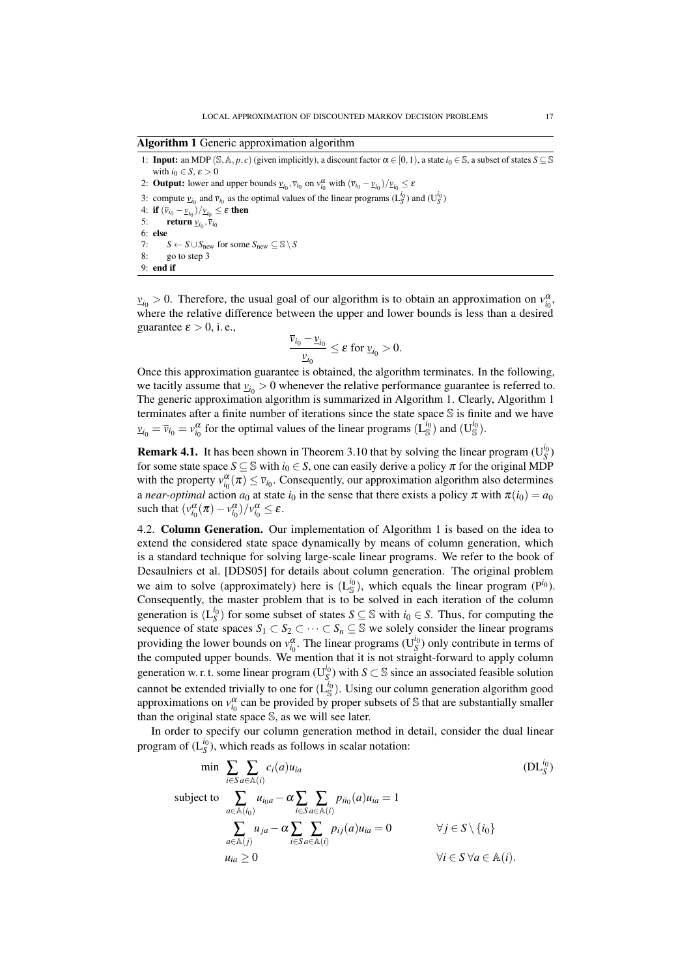Algorithm 1 Generic approximation algorithm

1: **Input:** an MDP (S, A, *p*, *c*) (given implicitly), a discount factor  $\alpha \in [0, 1)$ , a state  $i_0 \in S$ , a subset of states  $S \subseteq S$ with  $i_0 \in S$ ,  $\varepsilon > 0$ 2: **Output:** lower and upper bounds  $\underline{v}_{i_0}, \overline{v}_{i_0}$  on  $v_{i_0}^{\alpha}$  with  $(\overline{v}_{i_0} - \underline{v}_{i_0})/\underline{v}_{i_0} \le \varepsilon$ 3: compute  $v_{i_0}$  and  $\bar{v}_{i_0}$  as the optimal values of the linear programs ( $L_S^{i_0}$ ) and ( $U_S^{i_0}$ ) 4: if  $(\bar{v}_{i_0} - \underline{v}_{i_0})/\underline{v}_{i_0} \leq \varepsilon$  then 5: **return**  $\underline{v}_{i_0}, \overline{v}_{i_0}$ 6: else 7:  $S \leftarrow S \cup S_{\text{new}}$  for some  $S_{\text{new}} \subseteq S \setminus S$ 8: go to step 3 9: end if

 $v_{i_0} > 0$ . Therefore, the usual goal of our algorithm is to obtain an approximation on  $v_{i_0}^{\alpha}$ , where the relative difference between the upper and lower bounds is less than a desired guarantee  $\varepsilon > 0$ , i.e.,

$$
\frac{\overline{v}_{i_0} - \underline{v}_{i_0}}{\underline{v}_{i_0}} \leq \varepsilon \text{ for } \underline{v}_{i_0} > 0.
$$

Once this approximation guarantee is obtained, the algorithm terminates. In the following, we tacitly assume that  $v_{i_0} > 0$  whenever the relative performance guarantee is referred to. The generic approximation algorithm is summarized in Algorithm 1. Clearly, Algorithm 1 terminates after a finite number of iterations since the state space S is finite and we have  $v_{i_0} = \overline{v}_{i_0} = v_{i_0}^{\alpha}$  for the optimal values of the linear programs ( $\overline{L}_{\mathbb{S}}^{i_0}$ ) and ( $U_{\mathbb{S}}^{i_0}$ ).

**Remark 4.1.** It has been shown in Theorem 3.10 that by solving the linear program  $(U_S^{i_0})$ for some state space  $S \subseteq \mathbb{S}$  with  $i_0 \in S$ , one can easily derive a policy  $\pi$  for the original MDP with the property  $v_{i_0}^{\alpha}(\pi) \le \bar{v}_{i_0}$ . Consequently, our approximation algorithm also determines a *near-optimal* action  $a_0$  at state  $i_0$  in the sense that there exists a policy  $\pi$  with  $\pi(i_0) = a_0$ such that  $\left(\nu_{i_0}^{\alpha}(\pi) - \nu_{i_0}^{\alpha}\right) / \nu_{i_0}^{\alpha} \leq \varepsilon$ .

4.2. Column Generation. Our implementation of Algorithm 1 is based on the idea to extend the considered state space dynamically by means of column generation, which is a standard technique for solving large-scale linear programs. We refer to the book of Desaulniers et al. [DDS05] for details about column generation. The original problem we aim to solve (approximately) here is  $(L_{\mathbb{S}}^{i_0})$ , which equals the linear program (P<sup>*i*<sub>0</sub>)</sup>. Consequently, the master problem that is to be solved in each iteration of the column generation is  $(L_S^{i_0})$  for some subset of states  $S \subseteq \mathbb{S}$  with  $i_0 \in S$ . Thus, for computing the sequence of state spaces  $S_1 \subset S_2 \subset \cdots \subset S_n \subseteq \mathbb{S}$  we solely consider the linear programs providing the lower bounds on  $v_{i_0}^{\alpha}$ . The linear programs (U<sub>S</sub><sup>0</sup>) only contribute in terms of the computed upper bounds. We mention that it is not straight-forward to apply column generation w. r. t. some linear program ( $U_S^{i_0}$ ) with *S*  $\subset$  S since an associated feasible solution cannot be extended trivially to one for  $(L_s^{i_0})$ . Using our column generation algorithm good approximations on  $v_{i_0}^{\alpha}$  can be provided by proper subsets of S that are substantially smaller than the original state space S, as we will see later.

In order to specify our column generation method in detail, consider the dual linear program of  $(L_S^{i_0})$ , which reads as follows in scalar notation:

$$
\min \sum_{i \in S} \sum_{a \in \mathbb{A}(i)} c_i(a) u_{ia} \qquad (\text{DL}_S^{i_0})
$$
\n
$$
\text{subject to } \sum_{a \in \mathbb{A}(i_0)} u_{i_0 a} - \alpha \sum_{i \in S} \sum_{a \in \mathbb{A}(i)} p_{i i_0}(a) u_{i a} = 1
$$
\n
$$
\sum_{a \in \mathbb{A}(i)} u_{j a} - \alpha \sum_{i \in S} \sum_{a \in \mathbb{A}(i)} p_{i j}(a) u_{i a} = 0 \qquad \forall j \in S \setminus \{i_0\}
$$
\n
$$
u_{i a} \ge 0 \qquad \forall i \in S \ \forall a \in \mathbb{A}(i).
$$
\n(DL\_S^{i\_0})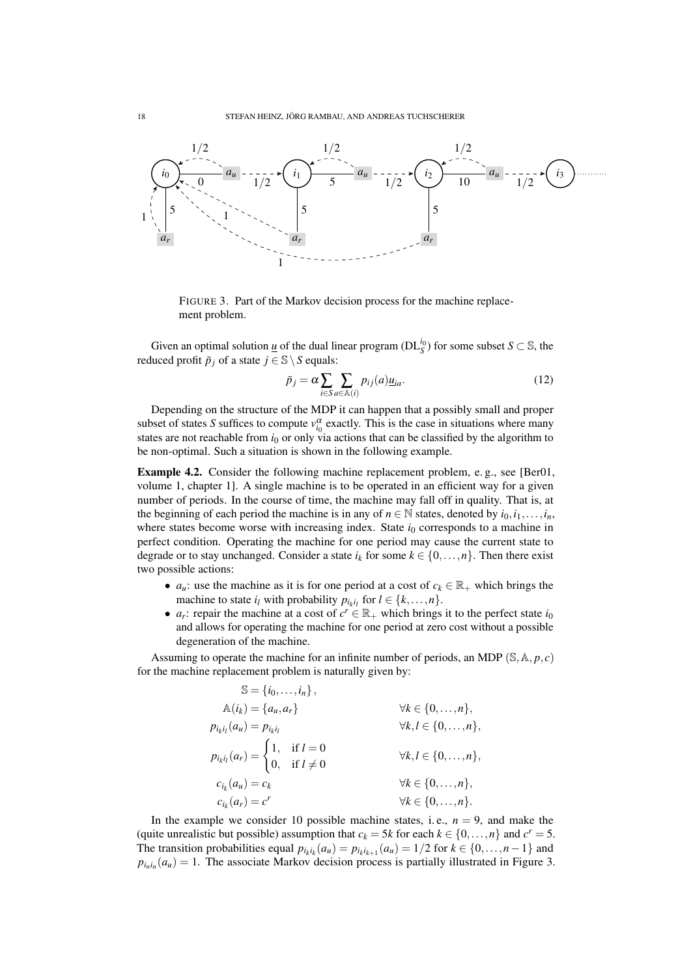

FIGURE 3. Part of the Markov decision process for the machine replacement problem.

Given an optimal solution <u>u</u> of the dual linear program ( $DL_S^{i_0}$ ) for some subset *S*  $\subset$  S, the reduced profit  $\bar{p}_j$  of a state  $j \in \mathbb{S} \setminus S$  equals:

$$
\bar{p}_j = \alpha \sum_{i \in S} \sum_{a \in \mathbb{A}(i)} p_{ij}(a) \underline{u}_{ia}.
$$
\n(12)

Depending on the structure of the MDP it can happen that a possibly small and proper subset of states *S* suffices to compute  $v_{i_0}^{\alpha}$  exactly. This is the case in situations where many states are not reachable from  $i<sub>0</sub>$  or only via actions that can be classified by the algorithm to be non-optimal. Such a situation is shown in the following example.

Example 4.2. Consider the following machine replacement problem, e. g., see [Ber01, volume 1, chapter 1]. A single machine is to be operated in an efficient way for a given number of periods. In the course of time, the machine may fall off in quality. That is, at the beginning of each period the machine is in any of  $n \in \mathbb{N}$  states, denoted by  $i_0, i_1, \ldots, i_n$ , where states become worse with increasing index. State  $i_0$  corresponds to a machine in perfect condition. Operating the machine for one period may cause the current state to degrade or to stay unchanged. Consider a state  $i_k$  for some  $k \in \{0, \ldots, n\}$ . Then there exist two possible actions:

- *a<sub>u</sub>*: use the machine as it is for one period at a cost of  $c_k \in \mathbb{R}_+$  which brings the machine to state  $i_l$  with probability  $p_{i_k i_l}$  for  $l \in \{k, ..., n\}$ .
- *a<sub>r</sub>*: repair the machine at a cost of  $c^r \in \mathbb{R}_+$  which brings it to the perfect state *i*<sub>0</sub> and allows for operating the machine for one period at zero cost without a possible degeneration of the machine.

Assuming to operate the machine for an infinite number of periods, an MDP  $(S, A, p, c)$ for the machine replacement problem is naturally given by:

| $\mathbb{S} = \{i_0, \ldots, i_n\},\,$                                                           |                                       |
|--------------------------------------------------------------------------------------------------|---------------------------------------|
| $\mathbb{A}(i_k) = \{a_u, a_r\}$                                                                 | $\forall k \in \{0, \ldots, n\},\$    |
| $p_{i_k i_l}(a_u) = p_{i_k i_l}$                                                                 | $\forall k,l \in \{0,\ldots,n\},\$    |
| $p_{i_k i_l}(a_r) = \begin{cases} 1, & \text{if } l = 0 \\ 0, & \text{if } l \neq 0 \end{cases}$ | $\forall k, l \in \{0, \ldots, n\},\$ |
| $c_{i_k}(a_u) = c_k$                                                                             | $\forall k \in \{0, \ldots, n\},\$    |
| $c_{i_k}(a_r) = c^r$                                                                             | $\forall k \in \{0, \ldots, n\}.$     |

In the example we consider 10 possible machine states, i.e.,  $n = 9$ , and make the (quite unrealistic but possible) assumption that  $c_k = 5k$  for each  $k \in \{0, ..., n\}$  and  $c^r = 5$ . The transition probabilities equal  $p_{i_k i_k}(a_u) = p_{i_k i_{k+1}}(a_u) = 1/2$  for  $k \in \{0, ..., n-1\}$  and  $p_{i_n i_n}(a_u) = 1$ . The associate Markov decision process is partially illustrated in Figure 3.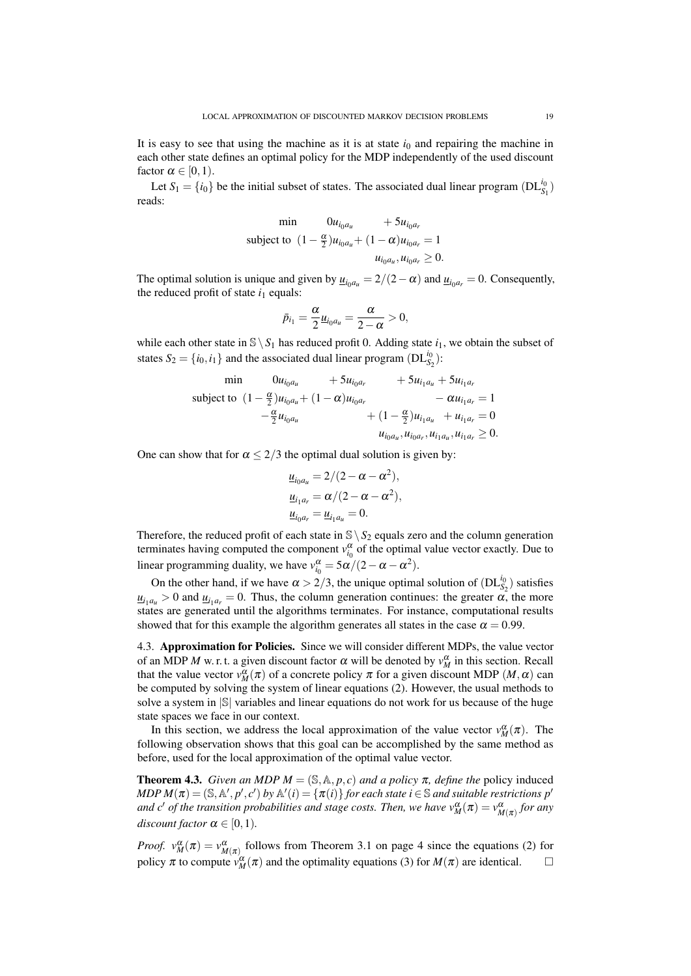It is easy to see that using the machine as it is at state  $i<sub>0</sub>$  and repairing the machine in each other state defines an optimal policy for the MDP independently of the used discount factor  $\alpha \in [0,1)$ .

Let  $S_1 = \{i_0\}$  be the initial subset of states. The associated dual linear program  $(DL_{S_1}^{i_0})$ reads:

$$
\begin{aligned}\n\min \qquad & 0u_{i_0 a_u} + 5u_{i_0 a_r} \\
\text{subject to } & (1 - \frac{\alpha}{2})u_{i_0 a_u} + (1 - \alpha)u_{i_0 a_r} = 1 \\
& u_{i_0 a_u}, u_{i_0 a_r} \ge 0.\n\end{aligned}
$$

The optimal solution is unique and given by  $\underline{u}_{i_0 a_u} = 2/(2-\alpha)$  and  $\underline{u}_{i_0 a_r} = 0$ . Consequently, the reduced profit of state  $i_1$  equals:

$$
\bar{p}_{i_1}=\frac{\alpha}{2}\underline{u}_{i_0a_u}=\frac{\alpha}{2-\alpha}>0,
$$

while each other state in  $\S \ S_1$  has reduced profit 0. Adding state  $i_1$ , we obtain the subset of states  $S_2 = \{i_0, i_1\}$  and the associated dual linear program  $(DL_{S_2}^{i_0})$ :

$$
\begin{aligned}\n\min \qquad & 0u_{i_0a_u} + 5u_{i_0a_r} + 5u_{i_1a_u} + 5u_{i_1a_r} \\
\text{subject to } & (1 - \frac{\alpha}{2})u_{i_0a_u} + (1 - \alpha)u_{i_0a_r} - \alpha u_{i_1a_r} = 1 \\
& -\frac{\alpha}{2}u_{i_0a_u} + (1 - \frac{\alpha}{2})u_{i_1a_u} + u_{i_1a_r} = 0 \\
& u_{i_0a_u}, u_{i_0a_r}, u_{i_1a_u}, u_{i_1a_r} \geq 0.\n\end{aligned}
$$

One can show that for  $\alpha \leq 2/3$  the optimal dual solution is given by:

$$
\underline{u}_{i_0 a_u} = 2/(2 - \alpha - \alpha^2),
$$
  

$$
\underline{u}_{i_1 a_r} = \alpha/(2 - \alpha - \alpha^2),
$$
  

$$
\underline{u}_{i_0 a_r} = \underline{u}_{i_1 a_u} = 0.
$$

Therefore, the reduced profit of each state in  $\mathcal{S} \setminus S_2$  equals zero and the column generation terminates having computed the component  $v_{i_0}^{\alpha}$  of the optimal value vector exactly. Due to linear programming duality, we have  $v_{i_0}^{\alpha} = 5\alpha/(2 - \alpha - \alpha^2)$ .

On the other hand, if we have  $\alpha > 2/3$ , the unique optimal solution of  $(DL_{S_2}^{i_0})$  satisfies  $u_{i_1a_u} > 0$  and  $u_{i_1a_r} = 0$ . Thus, the column generation continues: the greater  $\alpha$ , the more states are generated until the algorithms terminates. For instance, computational results showed that for this example the algorithm generates all states in the case  $\alpha = 0.99$ .

4.3. Approximation for Policies. Since we will consider different MDPs, the value vector of an MDP *M* w. r. t. a given discount factor  $\alpha$  will be denoted by  $v_M^{\alpha}$  in this section. Recall that the value vector  $v_M^{\alpha}(\pi)$  of a concrete policy  $\pi$  for a given discount MDP  $(M, \alpha)$  can be computed by solving the system of linear equations (2). However, the usual methods to solve a system in  $|\mathcal{S}|$  variables and linear equations do not work for us because of the huge state spaces we face in our context.

In this section, we address the local approximation of the value vector  $v_M^{\alpha}(\pi)$ . The following observation shows that this goal can be accomplished by the same method as before, used for the local approximation of the optimal value vector.

**Theorem 4.3.** *Given an MDP*  $M = (\mathbb{S}, \mathbb{A}, p, c)$  *and a policy*  $\pi$ *, define the* policy induced  $MDP M(\pi) = (\mathbb{S}, \mathbb{A}', p', c')$  by  $\mathbb{A}'(i) = \{\pi(i)\}$  for each state  $i \in \mathbb{S}$  and suitable restrictions  $p'$ *and c' of the transition probabilities and stage costs. Then, we have*  $v_M^{\alpha}(\pi) = v_{M(\pi)}^{\alpha}$  *for any discount factor*  $\alpha \in [0,1)$ *.* 

*Proof.*  $v_M^{\alpha}(\pi) = v_{M(\pi)}^{\alpha}$  follows from Theorem 3.1 on page 4 since the equations (2) for policy  $\pi$  to compute  $v_M^{\alpha}(\pi)$  and the optimality equations (3) for  $M(\pi)$  are identical.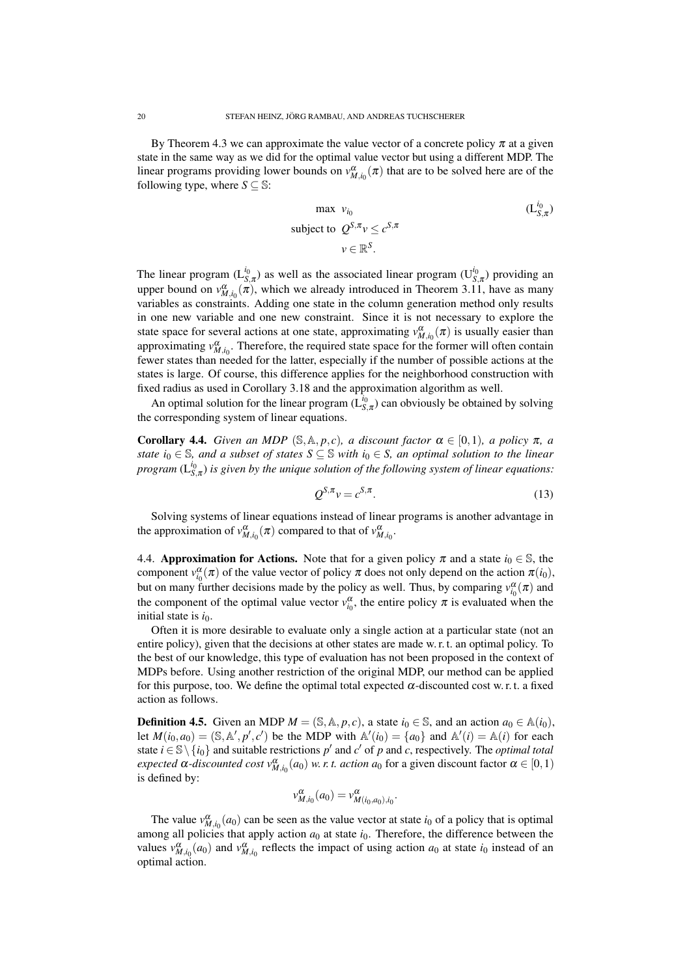By Theorem 4.3 we can approximate the value vector of a concrete policy  $\pi$  at a given state in the same way as we did for the optimal value vector but using a different MDP. The linear programs providing lower bounds on  $v_{M,i_0}^{\alpha}(\pi)$  that are to be solved here are of the following type, where  $S \subseteq \mathbb{S}$ :

max 
$$
v_{i_0}
$$
  
\nsubject to  $Q^{S,\pi}v \le c^{S,\pi}$   
\n $v \in \mathbb{R}^S$ .

The linear program  $(L_{S,\pi}^{i_0})$  as well as the associated linear program  $(U_{S,\pi}^{i_0})$  providing an upper bound on  $v_{M,i_0}^{\alpha}(\pi)$ , which we already introduced in Theorem 3.11, have as many variables as constraints. Adding one state in the column generation method only results in one new variable and one new constraint. Since it is not necessary to explore the state space for several actions at one state, approximating  $v_{M,i_0}^{\alpha}(\pi)$  is usually easier than approximating  $v_{M,i_0}^{\alpha}$ . Therefore, the required state space for the former will often contain fewer states than needed for the latter, especially if the number of possible actions at the states is large. Of course, this difference applies for the neighborhood construction with fixed radius as used in Corollary 3.18 and the approximation algorithm as well.

An optimal solution for the linear program  $(\tilde{L}_{S,\pi}^{i_0})$  can obviously be obtained by solving the corresponding system of linear equations.

**Corollary 4.4.** *Given an MDP* (S, A, *p*, *c*)*, a discount factor*  $\alpha \in [0,1)$ *, a policy*  $\pi$ *, a state*  $i_0 \in \mathbb{S}$ *, and a subset of states*  $S \subseteq \mathbb{S}$  *with*  $i_0 \in S$ *, an optimal solution to the linear program*  $(L_{S,\pi}^{i_0})$  *is given by the unique solution of the following system of linear equations:* 

$$
Q^{S,\pi}v = c^{S,\pi}.\tag{13}
$$

Solving systems of linear equations instead of linear programs is another advantage in the approximation of  $v_{M,i_0}^{\alpha}(\pi)$  compared to that of  $v_{M,i_0}^{\alpha}$ .

4.4. **Approximation for Actions.** Note that for a given policy  $\pi$  and a state  $i_0 \in \mathbb{S}$ , the component  $v_{i_0}^{\alpha}(\pi)$  of the value vector of policy  $\pi$  does not only depend on the action  $\pi(i_0)$ , but on many further decisions made by the policy as well. Thus, by comparing  $v_{i_0}^{\alpha}(\pi)$  and the component of the optimal value vector  $v_{i_0}^{\alpha}$ , the entire policy  $\pi$  is evaluated when the initial state is *i*<sub>0</sub>.

Often it is more desirable to evaluate only a single action at a particular state (not an entire policy), given that the decisions at other states are made w. r. t. an optimal policy. To the best of our knowledge, this type of evaluation has not been proposed in the context of MDPs before. Using another restriction of the original MDP, our method can be applied for this purpose, too. We define the optimal total expected  $\alpha$ -discounted cost w. r. t. a fixed action as follows.

**Definition 4.5.** Given an MDP  $M = (\mathbb{S}, \mathbb{A}, p, c)$ , a state  $i_0 \in \mathbb{S}$ , and an action  $a_0 \in \mathbb{A}(i_0)$ , let  $M(i_0, a_0) = (\mathbb{S}, \mathbb{A}', p', c')$  be the MDP with  $\mathbb{A}'(i_0) = \{a_0\}$  and  $\mathbb{A}'(i) = \mathbb{A}(i)$  for each state  $i \in \mathbb{S} \setminus \{i_0\}$  and suitable restrictions  $p'$  and  $c'$  of  $p$  and  $c$ , respectively. The *optimal total expected*  $\alpha$ -*discounted* cost  $v_{M,i_0}^{\alpha}(a_0)$  *w. r. t. action*  $a_0$  for a given discount factor  $\alpha \in [0,1)$ is defined by:

$$
v^{\alpha}_{M,i_0}(a_0) = v^{\alpha}_{M(i_0,a_0),i_0}.
$$

The value  $v_{M,i_0}^{\alpha}(a_0)$  can be seen as the value vector at state  $i_0$  of a policy that is optimal among all policies that apply action  $a_0$  at state  $i_0$ . Therefore, the difference between the values  $v_{M,i_0}^{\alpha}(a_0)$  and  $v_{M,i_0}^{\alpha}$  reflects the impact of using action  $a_0$  at state  $i_0$  instead of an optimal action.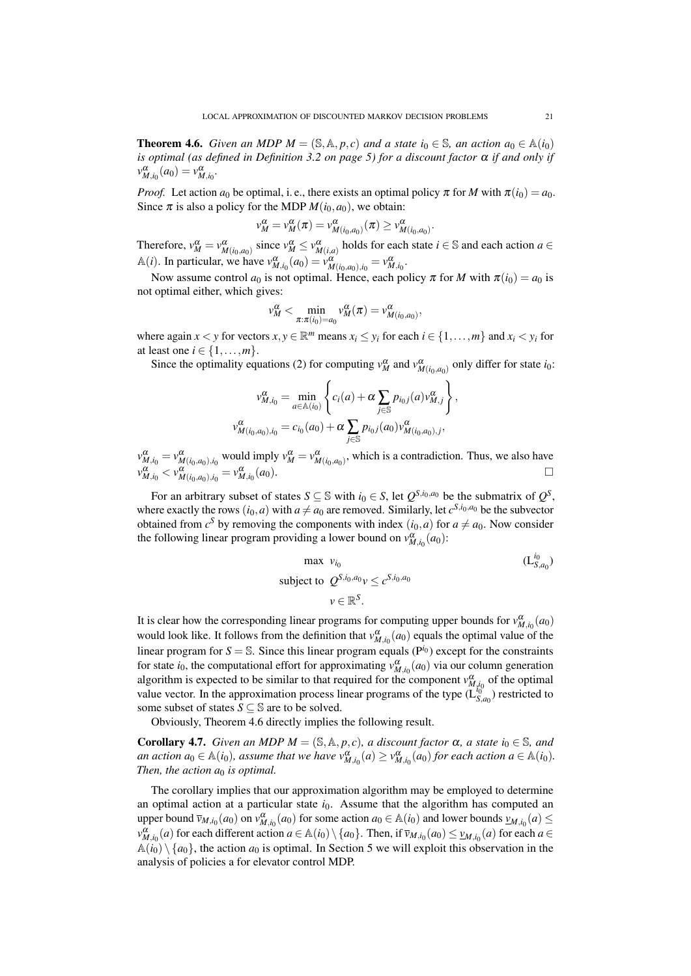**Theorem 4.6.** *Given an MDP*  $M = (\mathbb{S}, \mathbb{A}, p, c)$  *and a state*  $i_0 \in \mathbb{S}$ *, an action*  $a_0 \in \mathbb{A}(i_0)$ *is optimal (as defined in Definition 3.2 on page 5) for a discount factor*  $α$  *if and only if*  $v_{M,i_0}^{\alpha}(a_0) = v_{M,i_0}^{\alpha}$ .

*Proof.* Let action  $a_0$  be optimal, i. e., there exists an optimal policy  $\pi$  for *M* with  $\pi(i_0) = a_0$ . Since  $\pi$  is also a policy for the MDP  $M(i_0, a_0)$ , we obtain:

$$
v_M^{\alpha} = v_M^{\alpha}(\pi) = v_{M(i_0,a_0)}^{\alpha}(\pi) \geq v_{M(i_0,a_0)}^{\alpha}.
$$

Therefore,  $v_M^{\alpha} = v_{M(i_0, a_0)}^{\alpha}$  since  $v_M^{\alpha} \le v_{M(i,a)}^{\alpha}$  holds for each state  $i \in \mathbb{S}$  and each action  $a \in$ A(*i*). In particular, we have  $v_{M,i_0}^{\alpha}(a_0) = v_{M(i_0,a_0),i_0}^{\alpha}(a_0) = v_{M,i_0}^{\alpha}$ .

Now assume control  $a_0$  is not optimal. Hence, each policy  $\pi$  for *M* with  $\pi(i_0) = a_0$  is not optimal either, which gives:

$$
v_M^{\alpha} < \min_{\pi: \pi(i_0) = a_0} v_M^{\alpha}(\pi) = v_{M(i_0, a_0)}^{\alpha},
$$

where again  $x < y$  for vectors  $x, y \in \mathbb{R}^m$  means  $x_i \leq y_i$  for each  $i \in \{1, ..., m\}$  and  $x_i < y_i$  for at least one  $i \in \{1, \ldots, m\}$ .

Since the optimality equations (2) for computing  $v_M^{\alpha}$  and  $v_{M(i_0, a_0)}^{\alpha}$  only differ for state *i*<sub>0</sub>:

$$
v_{M,i_0}^{\alpha} = \min_{a \in \mathbb{A}(i_0)} \left\{ c_i(a) + \alpha \sum_{j \in \mathbb{S}} p_{i_0 j}(a) v_{M,j}^{\alpha} \right\},
$$
  

$$
v_{M(i_0,a_0),i_0}^{\alpha} = c_{i_0}(a_0) + \alpha \sum_{j \in \mathbb{S}} p_{i_0 j}(a_0) v_{M(i_0,a_0),j}^{\alpha},
$$

 $v_{M,i_0}^{\alpha} = v_{M(i_0,a_0),i_0}^{\alpha}$  would imply  $v_M^{\alpha} = v_{M(i_0,a_0)}^{\alpha}$ , which is a contradiction. Thus, we also have  $v_{M,i_0}^{\alpha} < v_{M(i_0,a_0),i_0}^{\alpha} = v_{M,i_0}^{\alpha}(a_0).$ 

For an arbitrary subset of states  $S \subseteq \mathbb{S}$  with  $i_0 \in S$ , let  $Q^{S,i_0,a_0}$  be the submatrix of  $Q^S$ , where exactly the rows  $(i_0, a)$  with  $a \neq a_0$  are removed. Similarly, let  $c^{S, i_0, a_0}$  be the subvector obtained from  $c^S$  by removing the components with index  $(i_0, a)$  for  $a \neq a_0$ . Now consider the following linear program providing a lower bound on  $v_{M,i_0}^{\alpha}(a_0)$ :

$$
\max \quad v_{i_0}
$$
\n
$$
\text{subject to } Q^{S, i_0, a_0} v \le c^{S, i_0, a_0}
$$
\n
$$
v \in \mathbb{R}^S.
$$
\n
$$
(L_{S, a_0}^{i_0})
$$

It is clear how the corresponding linear programs for computing upper bounds for  $v_{M,i_0}^{\alpha}(a_0)$ would look like. It follows from the definition that  $v_{M,i_0}^{\alpha}(a_0)$  equals the optimal value of the linear program for  $S = S$ . Since this linear program equals ( $P^{i_0}$ ) except for the constraints for state *i*<sub>0</sub>, the computational effort for approximating  $v_{M,i_0}^{\alpha}(a_0)$  via our column generation algorithm is expected to be similar to that required for the component  $v_{M,t_0}^{\alpha}$  of the optimal value vector. In the approximation process linear programs of the type  $(L_{S,a_0}^{a_0})$  restricted to some subset of states  $S \subseteq \mathbb{S}$  are to be solved.

Obviously, Theorem 4.6 directly implies the following result.

**Corollary 4.7.** *Given an MDP*  $M = (\mathbb{S}, \mathbb{A}, p, c)$ *, a discount factor*  $\alpha$ *, a state*  $i_0 \in \mathbb{S}$ *, and an action*  $a_0 \in \mathbb{A}(i_0)$ , assume that we have  $v_{M,i_0}^{\alpha}(a) \ge v_{M,i_0}^{\alpha}(a_0)$  for each action  $a \in \mathbb{A}(i_0)$ . *Then, the action*  $a_0$  *is optimal.* 

The corollary implies that our approximation algorithm may be employed to determine an optimal action at a particular state  $i<sub>0</sub>$ . Assume that the algorithm has computed an upper bound  $\bar{v}_{M,i_0}(a_0)$  on  $v_{M,i_0}^{\alpha}(a_0)$  for some action  $a_0 \in A(i_0)$  and lower bounds  $v_{M,i_0}(a) \le$  $v_{M,i_0}^{\alpha}(a)$  for each different action  $a \in \mathbb{A}(i_0) \setminus \{a_0\}$ . Then, if  $\overline{v}_{M,i_0}(a_0) \le \underline{v}_{M,i_0}(a)$  for each  $a \in$  $\mathbb{A}(i_0) \setminus \{a_0\}$ , the action  $a_0$  is optimal. In Section 5 we will exploit this observation in the analysis of policies a for elevator control MDP.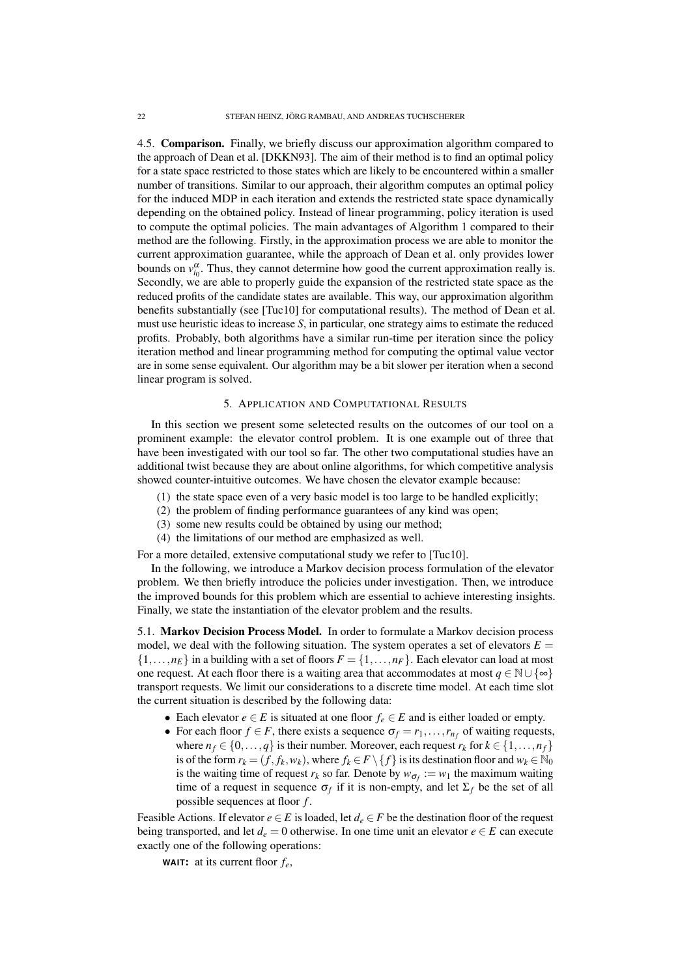4.5. Comparison. Finally, we briefly discuss our approximation algorithm compared to the approach of Dean et al. [DKKN93]. The aim of their method is to find an optimal policy for a state space restricted to those states which are likely to be encountered within a smaller number of transitions. Similar to our approach, their algorithm computes an optimal policy for the induced MDP in each iteration and extends the restricted state space dynamically depending on the obtained policy. Instead of linear programming, policy iteration is used to compute the optimal policies. The main advantages of Algorithm 1 compared to their method are the following. Firstly, in the approximation process we are able to monitor the current approximation guarantee, while the approach of Dean et al. only provides lower bounds on  $v_{i_0}^{\alpha}$ . Thus, they cannot determine how good the current approximation really is. Secondly, we are able to properly guide the expansion of the restricted state space as the reduced profits of the candidate states are available. This way, our approximation algorithm benefits substantially (see [Tuc10] for computational results). The method of Dean et al. must use heuristic ideas to increase *S*, in particular, one strategy aims to estimate the reduced profits. Probably, both algorithms have a similar run-time per iteration since the policy iteration method and linear programming method for computing the optimal value vector are in some sense equivalent. Our algorithm may be a bit slower per iteration when a second linear program is solved.

# 5. APPLICATION AND COMPUTATIONAL RESULTS

In this section we present some seletected results on the outcomes of our tool on a prominent example: the elevator control problem. It is one example out of three that have been investigated with our tool so far. The other two computational studies have an additional twist because they are about online algorithms, for which competitive analysis showed counter-intuitive outcomes. We have chosen the elevator example because:

- (1) the state space even of a very basic model is too large to be handled explicitly;
- (2) the problem of finding performance guarantees of any kind was open;
- (3) some new results could be obtained by using our method;
- (4) the limitations of our method are emphasized as well.

For a more detailed, extensive computational study we refer to [Tuc10].

In the following, we introduce a Markov decision process formulation of the elevator problem. We then briefly introduce the policies under investigation. Then, we introduce the improved bounds for this problem which are essential to achieve interesting insights. Finally, we state the instantiation of the elevator problem and the results.

5.1. Markov Decision Process Model. In order to formulate a Markov decision process model, we deal with the following situation. The system operates a set of elevators  $E =$  $\{1,\ldots,n_E\}$  in a building with a set of floors  $F = \{1,\ldots,n_F\}$ . Each elevator can load at most one request. At each floor there is a waiting area that accommodates at most  $q \in \mathbb{N} \cup \{\infty\}$ transport requests. We limit our considerations to a discrete time model. At each time slot the current situation is described by the following data:

- Each elevator  $e \in E$  is situated at one floor  $f_e \in E$  and is either loaded or empty.
- For each floor  $f \in F$ , there exists a sequence  $\sigma_f = r_1, \ldots, r_{n_f}$  of waiting requests, where  $n_f \in \{0, \ldots, q\}$  is their number. Moreover, each request  $r_k$  for  $k \in \{1, \ldots, n_f\}$ is of the form  $r_k = (f, f_k, w_k)$ , where  $f_k \in F \setminus \{f\}$  is its destination floor and  $w_k \in \mathbb{N}_0$ is the waiting time of request  $r_k$  so far. Denote by  $w_{\sigma_f} := w_1$  the maximum waiting time of a request in sequence  $\sigma_f$  if it is non-empty, and let  $\Sigma_f$  be the set of all possible sequences at floor *f* .

Feasible Actions. If elevator  $e \in E$  is loaded, let  $d_e \in F$  be the destination floor of the request being transported, and let  $d_e = 0$  otherwise. In one time unit an elevator  $e \in E$  can execute exactly one of the following operations:

**WAIT**: at its current floor *fe*,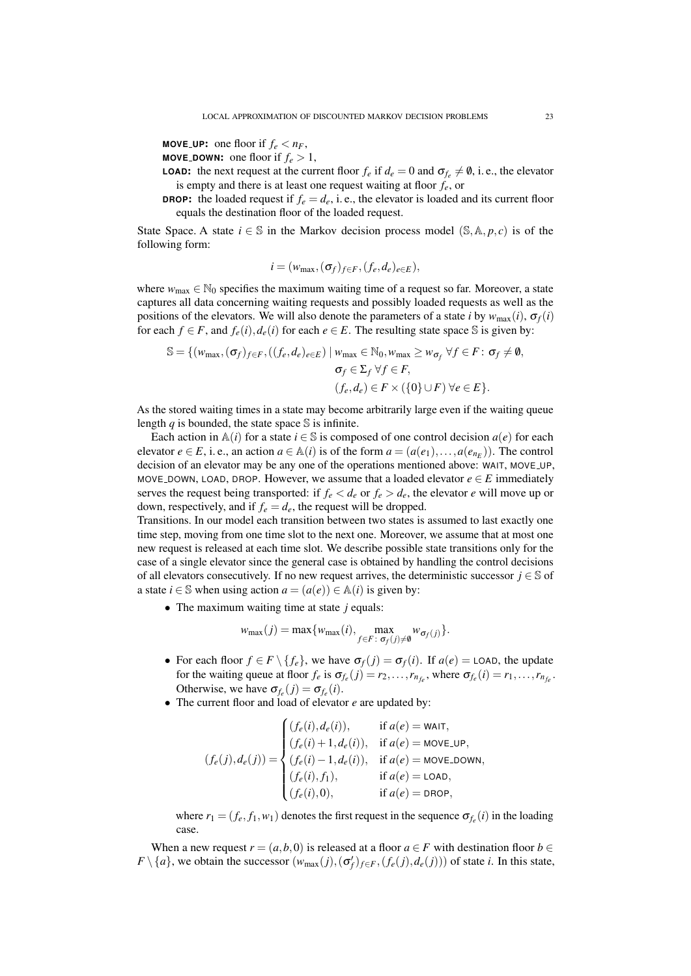**MOVE\_UP:** one floor if  $f_e < n_F$ ,

- **MOVE\_DOWN:** one floor if  $f_e > 1$ ,
- **LOAD:** the next request at the current floor  $f_e$  if  $d_e = 0$  and  $\sigma_{f_e} \neq \emptyset$ , i.e., the elevator is empty and there is at least one request waiting at floor *fe*, or
- **DROP:** the loaded request if  $f_e = d_e$ , i.e., the elevator is loaded and its current floor equals the destination floor of the loaded request.

State Space. A state  $i \in \mathbb{S}$  in the Markov decision process model ( $\mathbb{S}, \mathbb{A}, p, c$ ) is of the following form:

$$
i=(w_{\max},(\sigma_f)_{f\in F},(f_e,d_e)_{e\in E}),
$$

where  $w_{\text{max}} \in \mathbb{N}_0$  specifies the maximum waiting time of a request so far. Moreover, a state captures all data concerning waiting requests and possibly loaded requests as well as the positions of the elevators. We will also denote the parameters of a state *i* by  $w_{\text{max}}(i)$ ,  $\sigma_f(i)$ for each  $f \in F$ , and  $f_e(i)$ ,  $d_e(i)$  for each  $e \in E$ . The resulting state space S is given by:

$$
\mathbb{S} = \{ (w_{\max}, (\sigma_f)_{f \in F}, ((f_e, d_e)_{e \in E}) \mid w_{\max} \in \mathbb{N}_0, w_{\max} \geq w_{\sigma_f} \ \forall f \in F : \sigma_f \neq \emptyset, \sigma_f \in \Sigma_f \ \forall f \in F, (f_e, d_e) \in F \times (\{0\} \cup F) \ \forall e \in E \}.
$$

As the stored waiting times in a state may become arbitrarily large even if the waiting queue length  $q$  is bounded, the state space  $\mathcal S$  is infinite.

Each action in  $\mathbb{A}(i)$  for a state  $i \in \mathbb{S}$  is composed of one control decision  $a(e)$  for each elevator  $e \in E$ , i. e., an action  $a \in \mathbb{A}(i)$  is of the form  $a = (a(e_1),...,a(e_{n_E}))$ . The control decision of an elevator may be any one of the operations mentioned above: WAIT, MOVE UP, MOVE DOWN, LOAD, DROP. However, we assume that a loaded elevator  $e \in E$  immediately serves the request being transported: if  $f_e < d_e$  or  $f_e > d_e$ , the elevator *e* will move up or down, respectively, and if  $f_e = d_e$ , the request will be dropped.

Transitions. In our model each transition between two states is assumed to last exactly one time step, moving from one time slot to the next one. Moreover, we assume that at most one new request is released at each time slot. We describe possible state transitions only for the case of a single elevator since the general case is obtained by handling the control decisions of all elevators consecutively. If no new request arrives, the deterministic successor  $j \in \mathbb{S}$  of a state  $i \in \mathbb{S}$  when using action  $a = (a(e)) \in \mathbb{A}(i)$  is given by:

• The maximum waiting time at state *j* equals:

$$
w_{\max}(j) = \max\{w_{\max}(i), \max_{f \in F: \sigma_f(j) \neq \emptyset} w_{\sigma_f(j)}\}.
$$

- For each floor  $f \in F \setminus \{f_e\}$ , we have  $\sigma_f(j) = \sigma_f(i)$ . If  $a(e) = \text{LOAD}$ , the update for the waiting queue at floor  $f_e$  is  $\sigma_{f_e}(j) = r_2, \ldots, r_{n_{f_e}}$ , where  $\sigma_{f_e}(i) = r_1, \ldots, r_{n_{f_e}}$ . Otherwise, we have  $\sigma_{f_e}(j) = \sigma_{f_e}(i)$ .
- The current floor and load of elevator *e* are updated by:

$$
(f_e(j), d_e(j)) = \begin{cases} (f_e(i), d_e(i)), & \text{if } a(e) = \text{WAIT}, \\ (f_e(i) + 1, d_e(i)), & \text{if } a(e) = \text{MOVE_LUP}, \\ (f_e(i) - 1, d_e(i)), & \text{if } a(e) = \text{MOVE_DOWN}, \\ (f_e(i), f_1), & \text{if } a(e) = \text{LOAD}, \\ (f_e(i), 0), & \text{if } a(e) = \text{DROP}, \end{cases}
$$

where  $r_1 = (f_e, f_1, w_1)$  denotes the first request in the sequence  $\sigma_{f_e}(i)$  in the loading case.

When a new request  $r = (a, b, 0)$  is released at a floor  $a \in F$  with destination floor  $b \in$  $F \setminus \{a\}$ , we obtain the successor  $(w_{\text{max}}(j), (\sigma'_f)_{f \in F}, (f_e(j), d_e(j)))$  of state *i*. In this state,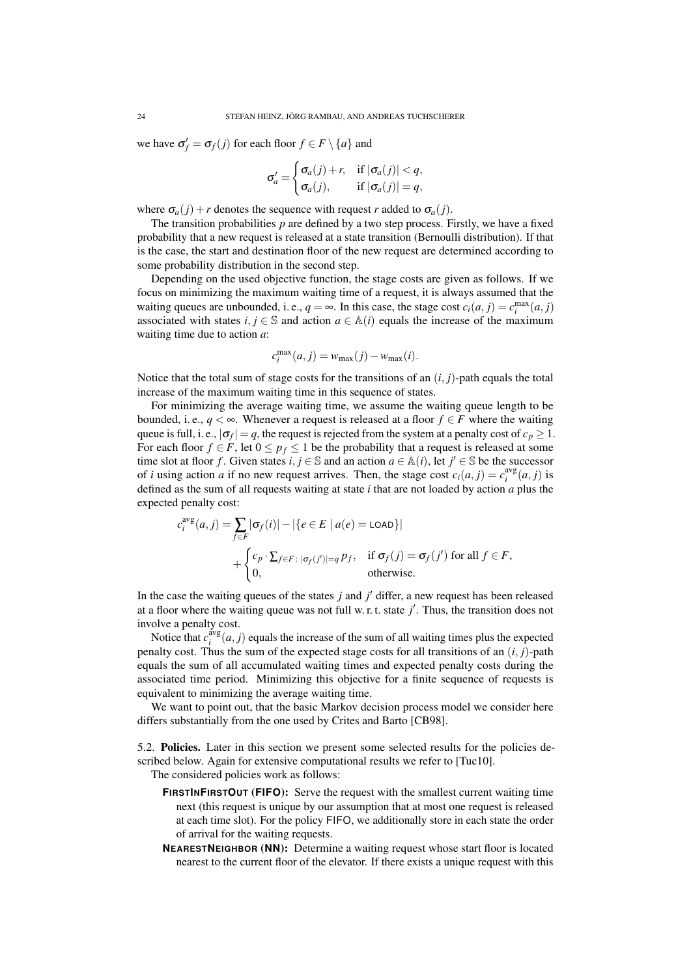we have  $\sigma_f' = \sigma_f(j)$  for each floor  $f \in F \setminus \{a\}$  and

$$
\sigma'_{a} = \begin{cases} \sigma_{a}(j) + r, & \text{if } |\sigma_{a}(j)| < q, \\ \sigma_{a}(j), & \text{if } |\sigma_{a}(j)| = q, \end{cases}
$$

where  $\sigma_a(j) + r$  denotes the sequence with request *r* added to  $\sigma_a(j)$ .

The transition probabilities  $p$  are defined by a two step process. Firstly, we have a fixed probability that a new request is released at a state transition (Bernoulli distribution). If that is the case, the start and destination floor of the new request are determined according to some probability distribution in the second step.

Depending on the used objective function, the stage costs are given as follows. If we focus on minimizing the maximum waiting time of a request, it is always assumed that the waiting queues are unbounded, i. e.,  $q = \infty$ . In this case, the stage cost  $c_i(a, j) = c_i^{\max}(a, j)$ associated with states  $i, j \in \mathbb{S}$  and action  $a \in \mathbb{A}(i)$  equals the increase of the maximum waiting time due to action *a*:

$$
c_i^{\max}(a,j) = w_{\max}(j) - w_{\max}(i).
$$

Notice that the total sum of stage costs for the transitions of an  $(i, j)$ -path equals the total increase of the maximum waiting time in this sequence of states.

For minimizing the average waiting time, we assume the waiting queue length to be bounded, i.e.,  $q < \infty$ . Whenever a request is released at a floor  $f \in F$  where the waiting queue is full, i. e.,  $|\sigma_f| = q$ , the request is rejected from the system at a penalty cost of  $c_p \geq 1$ . For each floor  $f \in F$ , let  $0 \le p_f \le 1$  be the probability that a request is released at some time slot at floor *f*. Given states  $i, j \in \mathbb{S}$  and an action  $a \in \mathbb{A}(i)$ , let  $j' \in \mathbb{S}$  be the successor of *i* using action *a* if no new request arrives. Then, the stage cost  $c_i(a, j) = c_i^{\text{avg}}(a, j)$  is defined as the sum of all requests waiting at state *i* that are not loaded by action *a* plus the expected penalty cost:

$$
c_i^{\text{avg}}(a, j) = \sum_{f \in F} |\sigma_f(i)| - |\{e \in E \mid a(e) = \text{LOAD}\}|
$$
  
+ 
$$
\begin{cases} c_p \cdot \sum_{f \in F : |\sigma_f(j')| = q} p_f, & \text{if } \sigma_f(j) = \sigma_f(j') \text{ for all } f \in F, \\ 0, & \text{otherwise.} \end{cases}
$$

In the case the waiting queues of the states  $j$  and  $j'$  differ, a new request has been released at a floor where the waiting queue was not full w. r. t. state *j'*. Thus, the transition does not involve a penalty cost.

Notice that  $c_i^{\text{avg}}(a, j)$  equals the increase of the sum of all waiting times plus the expected penalty cost. Thus the sum of the expected stage costs for all transitions of an  $(i, j)$ -path equals the sum of all accumulated waiting times and expected penalty costs during the associated time period. Minimizing this objective for a finite sequence of requests is equivalent to minimizing the average waiting time.

We want to point out, that the basic Markov decision process model we consider here differs substantially from the one used by Crites and Barto [CB98].

5.2. Policies. Later in this section we present some selected results for the policies described below. Again for extensive computational results we refer to [Tuc10].

The considered policies work as follows:

- **FIRSTINFIRSTOUT** (**FIFO**): Serve the request with the smallest current waiting time next (this request is unique by our assumption that at most one request is released at each time slot). For the policy FIFO, we additionally store in each state the order of arrival for the waiting requests.
- **NEARESTNEIGHBOR** (**NN**): Determine a waiting request whose start floor is located nearest to the current floor of the elevator. If there exists a unique request with this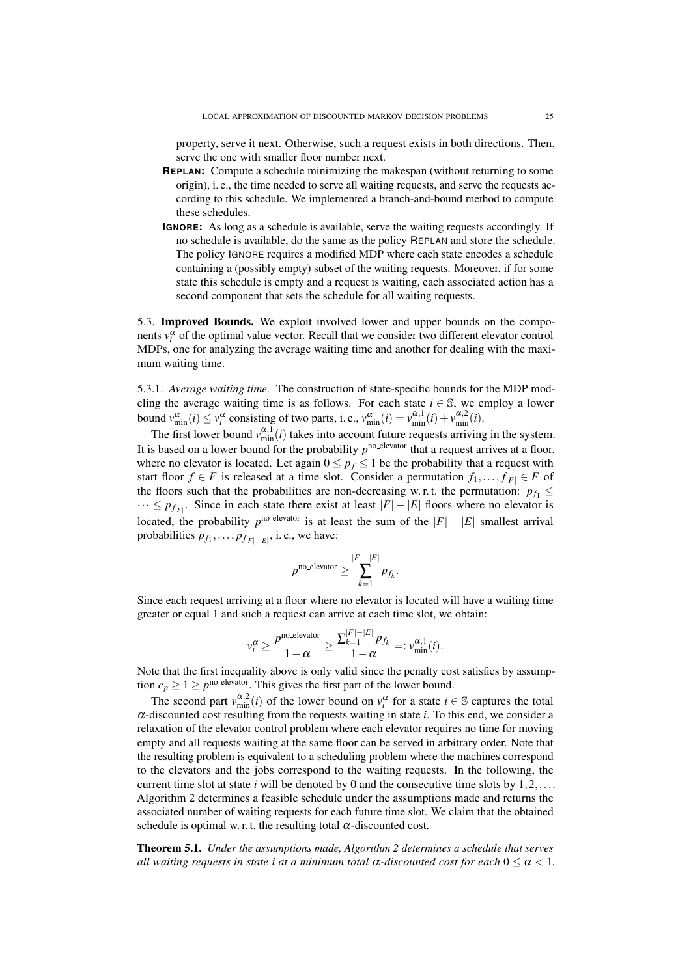property, serve it next. Otherwise, such a request exists in both directions. Then, serve the one with smaller floor number next.

- **REPLAN**: Compute a schedule minimizing the makespan (without returning to some origin), i. e., the time needed to serve all waiting requests, and serve the requests according to this schedule. We implemented a branch-and-bound method to compute these schedules.
- **IGNORE**: As long as a schedule is available, serve the waiting requests accordingly. If no schedule is available, do the same as the policy REPLAN and store the schedule. The policy IGNORE requires a modified MDP where each state encodes a schedule containing a (possibly empty) subset of the waiting requests. Moreover, if for some state this schedule is empty and a request is waiting, each associated action has a second component that sets the schedule for all waiting requests.

5.3. Improved Bounds. We exploit involved lower and upper bounds on the components  $v_i^{\alpha}$  of the optimal value vector. Recall that we consider two different elevator control MDPs, one for analyzing the average waiting time and another for dealing with the maximum waiting time.

5.3.1. *Average waiting time.* The construction of state-specific bounds for the MDP modeling the average waiting time is as follows. For each state  $i \in \mathbb{S}$ , we employ a lower bound  $v_{\min}^{\alpha}(i) \le v_i^{\alpha}$  consisting of two parts, i. e.,  $v_{\min}^{\alpha}(i) = v_{\min}^{\alpha,1}(i) + v_{\min}^{\alpha,2}(i)$ .

The first lower bound  $v_{\text{min}}^{\alpha,1}(i)$  takes into account future requests arriving in the system. It is based on a lower bound for the probability  $p^{\text{no.elevator}}$  that a request arrives at a floor, where no elevator is located. Let again  $0 \le p_f \le 1$  be the probability that a request with start floor *f* ∈ *F* is released at a time slot. Consider a permutation  $f_1, \ldots, f_{|F|} \in F$  of the floors such that the probabilities are non-decreasing w.r.t. the permutation:  $p_{f_1} \leq$  $\cdots \leq p_{f_{|F|}}$ . Since in each state there exist at least  $|F| - |E|$  floors where no elevator is located, the probability  $p^{\text{no\_elevation}}$  is at least the sum of the  $|F| - |E|$  smallest arrival probabilities  $p_{f_1}, \ldots, p_{f_{|F|-|E|}},$  i.e., we have:

$$
p^{\text{no\_elevation}} \geq \sum_{k=1}^{|F| - |E|} p_{f_k}.
$$

Since each request arriving at a floor where no elevator is located will have a waiting time greater or equal 1 and such a request can arrive at each time slot, we obtain:

$$
\nu_i^{\alpha} \ge \frac{p^{\text{no\_elevation}}}{1-\alpha} \ge \frac{\sum_{k=1}^{|F|-|E|} p_{f_k}}{1-\alpha} =: \nu_{\min}^{\alpha,1}(i).
$$

Note that the first inequality above is only valid since the penalty cost satisfies by assumption  $c_p \geq 1 \geq p^{\text{no. elevator}}$ . This gives the first part of the lower bound.

The second part  $v_{\min}^{\alpha,2}(i)$  of the lower bound on  $v_i^{\alpha}$  for a state  $i \in \mathbb{S}$  captures the total  $\alpha$ -discounted cost resulting from the requests waiting in state *i*. To this end, we consider a relaxation of the elevator control problem where each elevator requires no time for moving empty and all requests waiting at the same floor can be served in arbitrary order. Note that the resulting problem is equivalent to a scheduling problem where the machines correspond to the elevators and the jobs correspond to the waiting requests. In the following, the current time slot at state *i* will be denoted by 0 and the consecutive time slots by  $1, 2, \ldots$ . Algorithm 2 determines a feasible schedule under the assumptions made and returns the associated number of waiting requests for each future time slot. We claim that the obtained schedule is optimal w. r. t. the resulting total  $\alpha$ -discounted cost.

Theorem 5.1. *Under the assumptions made, Algorithm 2 determines a schedule that serves all waiting requests in state i at a minimum total*  $\alpha$ *-discounted cost for each*  $0 \leq \alpha \leq 1$ .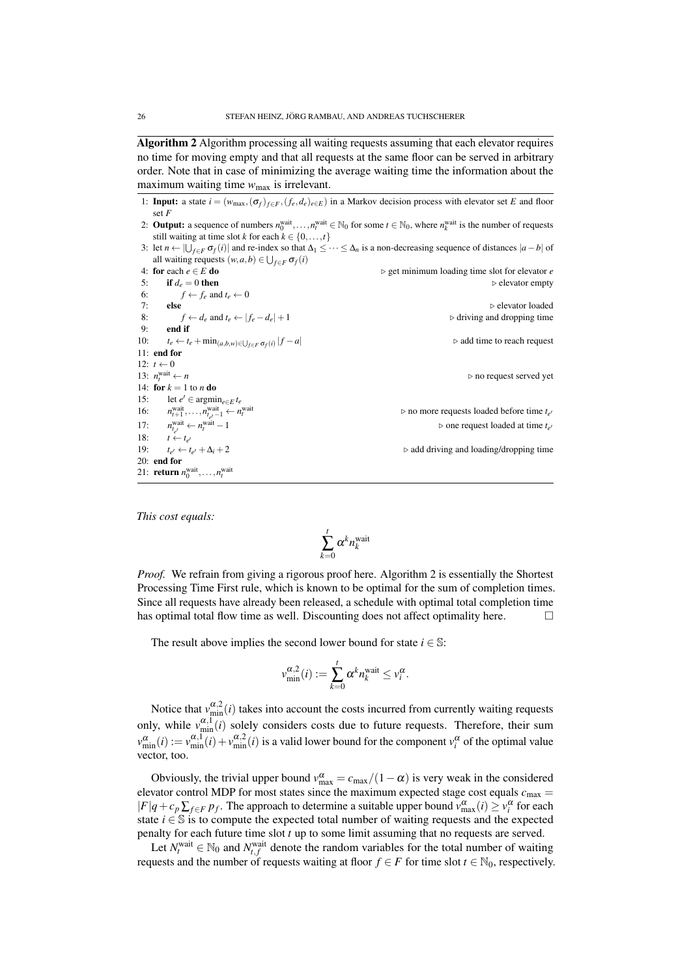Algorithm 2 Algorithm processing all waiting requests assuming that each elevator requires no time for moving empty and that all requests at the same floor can be served in arbitrary order. Note that in case of minimizing the average waiting time the information about the maximum waiting time  $w_{\text{max}}$  is irrelevant.

- 1: **Input:** a state  $i = (w_{\text{max}}, (\sigma_f)_{f \in F}, (f_e, d_e)_{e \in E})$  in a Markov decision process with elevator set *E* and floor set *F*
- 2: **Output:** a sequence of numbers  $n_0^{\text{wait}}, \ldots, n_t^{\text{wait}} \in \mathbb{N}_0$  for some  $t \in \mathbb{N}_0$ , where  $n_k^{\text{wait}}$  is the number of requests still waiting at time slot *k* for each  $k \in \{0, \ldots, t\}$
- 3: let  $n \leftarrow \bigcup_{f \in F} \sigma_f(i)$  and re-index so that  $\Delta_1 \leq \cdots \leq \Delta_n$  is a non-decreasing sequence of distances  $|a b|$  of all waiting requests  $(w, a, b) \in \bigcup_{f \in F} \sigma_f(i)$

```
4: for each e ∈ E do<br>5: if d_e = 0 then<br>5: if d_e = 0 then
 5: if d_e = 0 then \triangleright elevator empty
 6: f \leftarrow f_e and t_e \leftarrow 07: else \triangleright elevator loaded
 8: f \leftarrow d_e and t_e \leftarrow |f_e - d_e| + 1 <br>9. end if
        end if
10: t_e \leftarrow t_e + \min_{(a,b,w) \in \bigcup_{f \in F} \sigma_f(i)}| f −a| . add time to reach request
11: end for
12: t \leftarrow 013: n_t^{\text{wait}}⊳ no request served yet
14: for k = 1 to n do
15: let e' ∈ argmin<sub>e∈E</sub> t<sub>e</sub>
16: n
           \begin{aligned} \n\text{wait} \\ \n\text{wait} \\ \n\text{init} \\ \n\text{init} \n\end{aligned} \n\leftarrow n_t^{\text{wait}}\begin{array}{c}\n\overline{u} & \rightarrow \overline{u} \\
\overline{v} & \rightarrow \overline{u} \\
\overline{v} & \rightarrow \overline{u} \\
\overline{v} & \rightarrow \overline{u}\n\end{array}\triangleright no more requests loaded before time t_{e'}17: n
                    \triangleright one request loaded at time t_{e'}18: t \leftarrow t_{e'}19: te
        t_{e'} \leftarrow t_{e'} + \Delta_i + 20 +∆i +2 . add driving and loading/dropping time
20: end for
21: return n_0^{\text{wait}}, \ldots, n_t^{\text{wait}}
```
*This cost equals:*

$$
\sum_{k=0}^t \alpha^k n_k^{\text{wait}}
$$

*Proof.* We refrain from giving a rigorous proof here. Algorithm 2 is essentially the Shortest Processing Time First rule, which is known to be optimal for the sum of completion times. Since all requests have already been released, a schedule with optimal total completion time has optimal total flow time as well. Discounting does not affect optimality here.  $\Box$ 

The result above implies the second lower bound for state  $i \in \mathbb{S}$ :

$$
v_{\min}^{\alpha,2}(i) := \sum_{k=0}^{t} \alpha^k n_k^{\text{wait}} \leq v_i^{\alpha}.
$$

Notice that  $v_{\text{min}}^{\alpha,2}(i)$  takes into account the costs incurred from currently waiting requests only, while  $v_{\text{min}}^{\alpha,1}(i)$  solely considers costs due to future requests. Therefore, their sum  $v_{\min}^{\alpha}(i) := v_{\min}^{\alpha,1}(i) + v_{\min}^{\alpha,2}(i)$  is a valid lower bound for the component  $v_i^{\alpha}$  of the optimal value vector, too.

Obviously, the trivial upper bound  $v_{\text{max}}^{\alpha} = c_{\text{max}}/(1 - \alpha)$  is very weak in the considered elevator control MDP for most states since the maximum expected stage cost equals  $c_{\text{max}} =$  $|F|q+c_p\sum_{f\in F}p_f$ . The approach to determine a suitable upper bound  $v_{\text{max}}^{\alpha}(i) \ge v_i^{\alpha}$  for each state  $i \in \mathbb{S}$  is to compute the expected total number of waiting requests and the expected penalty for each future time slot *t* up to some limit assuming that no requests are served.

Let  $N_t^{\text{wait}} \in \mathbb{N}_0$  and  $N_{t,f}^{\text{wait}}$  denote the random variables for the total number of waiting requests and the number of requests waiting at floor  $f \in F$  for time slot  $t \in \mathbb{N}_0$ , respectively.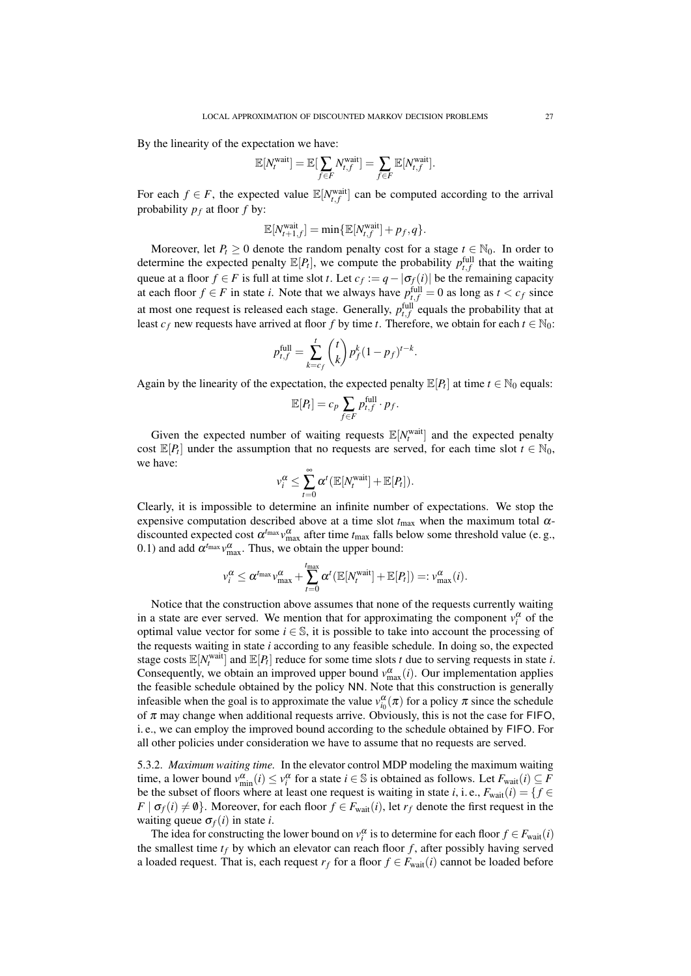By the linearity of the expectation we have:

$$
\mathbb{E}[N_t^{\text{wait}}] = \mathbb{E}[\sum_{f \in F} N_{t,f}^{\text{wait}}] = \sum_{f \in F} \mathbb{E}[N_{t,f}^{\text{wait}}].
$$

For each  $f \in F$ , the expected value  $\mathbb{E}[N_{t,f}^{\text{wait}}]$  can be computed according to the arrival probability  $p_f$  at floor  $f$  by:

$$
\mathbb{E}[N_{t+1,f}^{\text{wait}}] = \min \{ \mathbb{E}[N_{t,f}^{\text{wait}}] + p_f, q \}.
$$

Moreover, let  $P_t \geq 0$  denote the random penalty cost for a stage  $t \in \mathbb{N}_0$ . In order to determine the expected penalty  $\mathbb{E}[P_t]$ , we compute the probability  $p_{t,f}^{\text{full}}$  that the waiting queue at a floor  $f \in F$  is full at time slot *t*. Let  $c_f := q - |\sigma_f(i)|$  be the remaining capacity at each floor  $f \in F$  in state *i*. Note that we always have  $p_{t,f}^{\text{full}} = 0$  as long as  $t < c_f$  since at most one request is released each stage. Generally,  $p_{t,f}^{\text{full}}$  equals the probability that at least  $c_f$  new requests have arrived at floor *f* by time *t*. Therefore, we obtain for each  $t \in \mathbb{N}_0$ :

$$
p_{t,f}^{\text{full}} = \sum_{k=c_f}^{t} {t \choose k} p_f^k (1 - p_f)^{t-k}.
$$

Again by the linearity of the expectation, the expected penalty  $\mathbb{E}[P_t]$  at time  $t \in \mathbb{N}_0$  equals:

$$
\mathbb{E}[P_t] = c_p \sum_{f \in F} p_{t,f}^{\text{full}} \cdot p_f.
$$

Given the expected number of waiting requests  $\mathbb{E}[N_t^{\text{wait}}]$  and the expected penalty cost  $\mathbb{E}[P_t]$  under the assumption that no requests are served, for each time slot  $t \in \mathbb{N}_0$ , we have:

$$
v_i^{\alpha} \leq \sum_{t=0}^{\infty} \alpha^t (\mathbb{E}[N_t^{\text{wait}}] + \mathbb{E}[P_t]).
$$

Clearly, it is impossible to determine an infinite number of expectations. We stop the expensive computation described above at a time slot  $t_{\text{max}}$  when the maximum total  $\alpha$ discounted expected cost  $\alpha^{t_{\text{max}}} v_{\text{max}}^{\alpha}$  after time  $t_{\text{max}}$  falls below some threshold value (e. g., 0.1) and add  $\alpha^{t_{\text{max}}} v_{\text{max}}^{\alpha}$ . Thus, we obtain the upper bound:

$$
v_i^{\alpha} \leq \alpha^{t_{\max}} v_{\max}^{\alpha} + \sum_{t=0}^{t_{\max}} \alpha^t (\mathbb{E}[N_t^{\text{wait}}] + \mathbb{E}[P_t]) =: v_{\max}^{\alpha}(i).
$$

Notice that the construction above assumes that none of the requests currently waiting in a state are ever served. We mention that for approximating the component  $v_i^{\alpha}$  of the optimal value vector for some  $i \in \mathbb{S}$ , it is possible to take into account the processing of the requests waiting in state *i* according to any feasible schedule. In doing so, the expected stage costs  $\mathbb{E}[N_t^{\text{wait}}]$  and  $\mathbb{E}[P_t]$  reduce for some time slots *t* due to serving requests in state *i*. Consequently, we obtain an improved upper bound  $v_{\text{max}}^{\alpha}(i)$ . Our implementation applies the feasible schedule obtained by the policy NN. Note that this construction is generally infeasible when the goal is to approximate the value  $v_{i_0}^{\alpha}(\pi)$  for a policy  $\pi$  since the schedule of  $\pi$  may change when additional requests arrive. Obviously, this is not the case for FIFO, i. e., we can employ the improved bound according to the schedule obtained by FIFO. For all other policies under consideration we have to assume that no requests are served.

5.3.2. *Maximum waiting time.* In the elevator control MDP modeling the maximum waiting time, a lower bound  $v_{\min}^{\alpha}(i) \le v_i^{\alpha}$  for a state  $i \in \mathbb{S}$  is obtained as follows. Let  $F_{\text{wait}}(i) \subseteq F$ be the subset of floors where at least one request is waiting in state *i*, i. e.,  $F_{wait}(i) = \{f \in$  $F | \sigma_f(i) \neq \emptyset$ . Moreover, for each floor  $f \in F_{wait}(i)$ , let  $r_f$  denote the first request in the waiting queue  $\sigma_f(i)$  in state *i*.

The idea for constructing the lower bound on  $v_i^{\alpha}$  is to determine for each floor  $f \in F_{\text{wait}}(i)$ the smallest time  $t_f$  by which an elevator can reach floor  $f$ , after possibly having served a loaded request. That is, each request  $r_f$  for a floor  $f \in F_{wait}(i)$  cannot be loaded before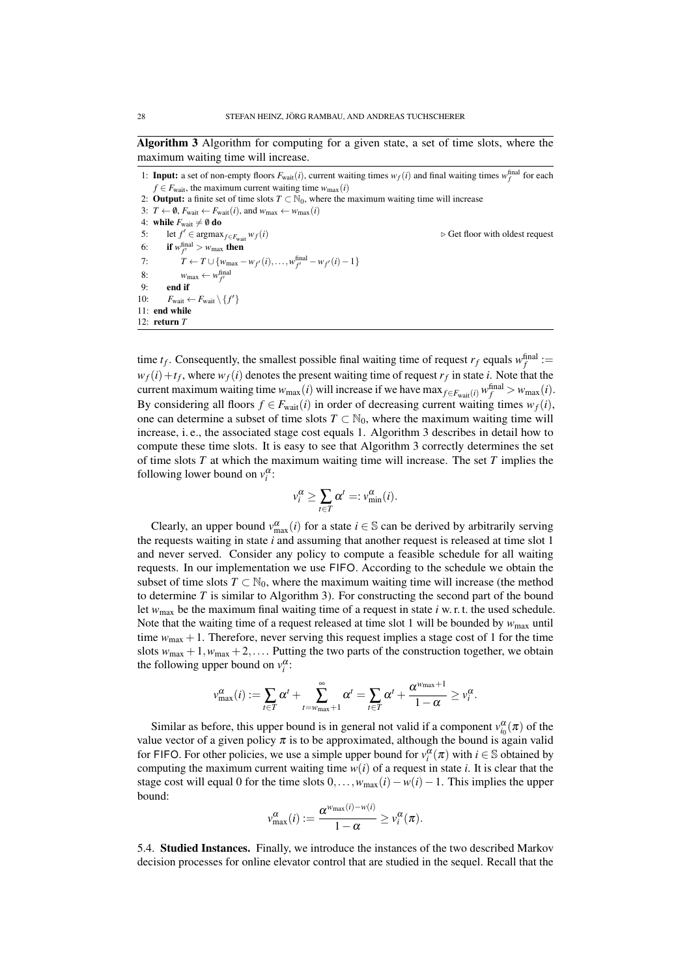Algorithm 3 Algorithm for computing for a given state, a set of time slots, where the maximum waiting time will increase.

1: **Input:** a set of non-empty floors  $F_{wait}(i)$ , current waiting times  $w_f(i)$  and final waiting times  $w_f^{final}$  for each  $f \in F_{\text{wait}}$ , the maximum current waiting time  $w_{\text{max}}(i)$ 2: **Output:** a finite set of time slots  $T \subset \mathbb{N}_0$ , where the maximum waiting time will increase 3:  $T \leftarrow \emptyset$ ,  $F_{wait} \leftarrow F_{wait}(i)$ , and  $w_{max} \leftarrow w_{max}(i)$ 4: **while**  $F_{\text{wait}} \neq \emptyset$  **do**<br>5: let  $f' \in \text{argmax}$ let  $f' \in \text{argmax}_{f \in F_{\text{wait}}} w_f(i)$ <sup>0</sup> <sup>∈</sup> argmax*f*∈*F*wait *<sup>w</sup>f*(*i*) . Get floor with oldest request 6: **if**  $w_{f'}^{\text{final}} > w_{\text{max}}$  then 7:  $T \leftarrow T \cup \{w_{\text{max}} - w_{f'}(i), \ldots, w_{f'}^{\text{final}} - w_{f'}(i) - 1\}$ 8:  $w_{\text{max}} \leftarrow w_{f'}^{\text{final}}$ 9: end if 10:  $F_{wait} \leftarrow F_{wait} \setminus \{f'\}$ 11: end while 12: return *T*

time  $t_f$ . Consequently, the smallest possible final waiting time of request  $r_f$  equals  $w_f^{\text{final}}$  :=  $w_f(i) + t_f$ , where  $w_f(i)$  denotes the present waiting time of request  $r_f$  in state *i*. Note that the current maximum waiting time  $w_{\text{max}}(i)$  will increase if we have  $\max_{f \in F_{\text{wait}}(i)} w_f^{\text{final}} > w_{\text{max}}(i)$ . By considering all floors  $f \in F_{wait}(i)$  in order of decreasing current waiting times  $w_f(i)$ , one can determine a subset of time slots  $T \subset \mathbb{N}_0$ , where the maximum waiting time will increase, i. e., the associated stage cost equals 1. Algorithm 3 describes in detail how to compute these time slots. It is easy to see that Algorithm 3 correctly determines the set of time slots *T* at which the maximum waiting time will increase. The set *T* implies the following lower bound on  $v_i^{\alpha}$ :

$$
v_i^{\alpha} \ge \sum_{t \in T} \alpha^t =: v_{\min}^{\alpha}(i).
$$

Clearly, an upper bound  $v_{\text{max}}^{\alpha}(i)$  for a state  $i \in \mathbb{S}$  can be derived by arbitrarily serving the requests waiting in state *i* and assuming that another request is released at time slot 1 and never served. Consider any policy to compute a feasible schedule for all waiting requests. In our implementation we use FIFO. According to the schedule we obtain the subset of time slots  $T \subset \mathbb{N}_0$ , where the maximum waiting time will increase (the method to determine *T* is similar to Algorithm 3). For constructing the second part of the bound let  $w_{\text{max}}$  be the maximum final waiting time of a request in state *i* w. r. t. the used schedule. Note that the waiting time of a request released at time slot 1 will be bounded by  $w_{\text{max}}$  until time  $w_{\text{max}} + 1$ . Therefore, never serving this request implies a stage cost of 1 for the time slots  $w_{\text{max}} + 1$ ,  $w_{\text{max}} + 2$ ,.... Putting the two parts of the construction together, we obtain the following upper bound on  $v_i^{\alpha}$ :

$$
v_{\max}^{\alpha}(i) := \sum_{t \in T} \alpha^t + \sum_{t=w_{\max}+1}^{\infty} \alpha^t = \sum_{t \in T} \alpha^t + \frac{\alpha^{w_{\max}+1}}{1-\alpha} \geq v_t^{\alpha}.
$$

Similar as before, this upper bound is in general not valid if a component  $v_{i_0}^{\alpha}(\pi)$  of the value vector of a given policy  $\pi$  is to be approximated, although the bound is again valid for FIFO. For other policies, we use a simple upper bound for  $v_i^{\alpha}(\pi)$  with  $i \in \mathbb{S}$  obtained by computing the maximum current waiting time  $w(i)$  of a request in state *i*. It is clear that the stage cost will equal 0 for the time slots  $0, \ldots, w_{\text{max}}(i) - w(i) - 1$ . This implies the upper bound:

$$
v_{\max}^{\alpha}(i) := \frac{\alpha^{w_{\max}(i) - w(i)}}{1 - \alpha} \geq v_i^{\alpha}(\pi).
$$

5.4. Studied Instances. Finally, we introduce the instances of the two described Markov decision processes for online elevator control that are studied in the sequel. Recall that the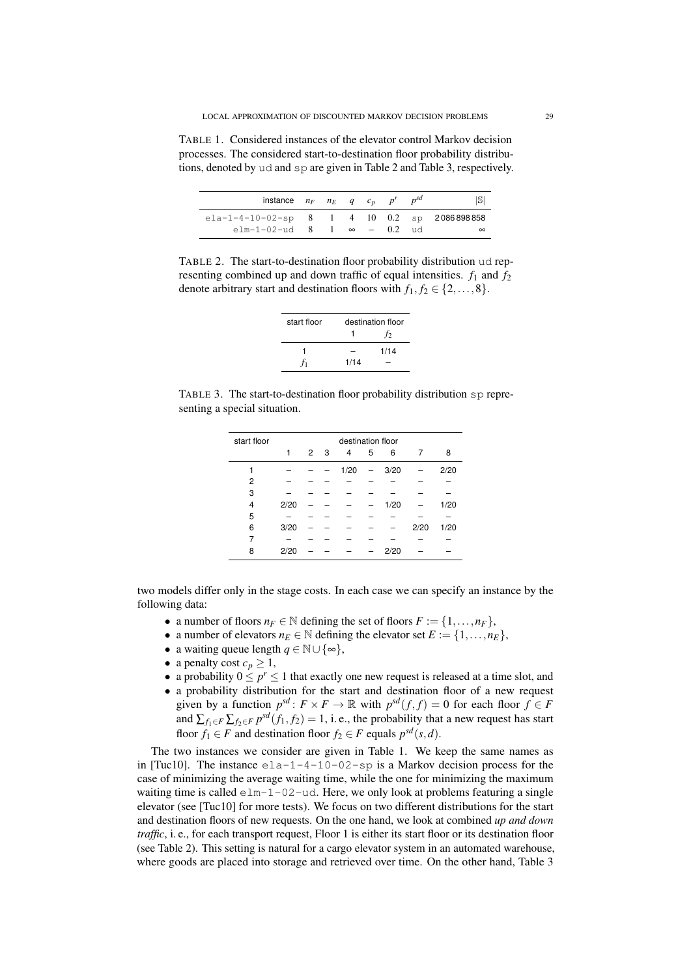TABLE 1. Considered instances of the elevator control Markov decision processes. The considered start-to-destination floor probability distributions, denoted by ud and sp are given in Table 2 and Table 3, respectively.

| instance $n_F$ $n_E$ q $c_p$ $p^r$            |  |  |  | S        |
|-----------------------------------------------|--|--|--|----------|
| $ela-1-4-10-02-sp$ 8 1 4 10 0.2 sp 2086898858 |  |  |  |          |
| elm-1-02-ud 8 1 $\infty$ - 0.2 ud             |  |  |  | $\infty$ |

TABLE 2. The start-to-destination floor probability distribution ud representing combined up and down traffic of equal intensities.  $f_1$  and  $f_2$ denote arbitrary start and destination floors with  $f_1, f_2 \in \{2, ..., 8\}$ .

| start floor |      | destination floor |  |  |  |  |
|-------------|------|-------------------|--|--|--|--|
|             |      | t2                |  |  |  |  |
|             |      | 1/14              |  |  |  |  |
|             | 1/14 |                   |  |  |  |  |

TABLE 3. The start-to-destination floor probability distribution sp representing a special situation.

| start floor    | destination floor |                |  |      |   |      |      |      |  |
|----------------|-------------------|----------------|--|------|---|------|------|------|--|
|                | 1                 | 2 <sub>3</sub> |  | 4    | 5 | 6    |      | 8    |  |
|                |                   |                |  | 1/20 |   | 3/20 |      | 2/20 |  |
| $\overline{c}$ |                   |                |  |      |   |      |      |      |  |
| 3              |                   |                |  |      |   |      |      |      |  |
| 4              | 2/20              |                |  |      |   | 1/20 |      | 1/20 |  |
| 5              |                   |                |  |      |   |      |      |      |  |
| 6              | 3/20              |                |  |      |   |      | 2/20 | 1/20 |  |
| 7              |                   |                |  |      |   |      |      |      |  |
| 8              | 2/20              |                |  |      |   | 2/20 |      |      |  |
|                |                   |                |  |      |   |      |      |      |  |

two models differ only in the stage costs. In each case we can specify an instance by the following data:

- a number of floors  $n_F \in \mathbb{N}$  defining the set of floors  $F := \{1, \ldots, n_F\},\$
- a number of elevators  $n_E \in \mathbb{N}$  defining the elevator set  $E := \{1, \ldots, n_E\}$ ,
- a waiting queue length  $q \in \mathbb{N} \cup \{\infty\},\$
- a penalty cost  $c_p \geq 1$ ,
- a probability  $0 \le p^r \le 1$  that exactly one new request is released at a time slot, and
- a probability distribution for the start and destination floor of a new request given by a function  $p^{sd} : F \times F \to \mathbb{R}$  with  $p^{sd}(f, f) = 0$  for each floor  $f \in F$ and  $\sum_{f_1 \in F} \sum_{f_2 \in F} p^{sd}(f_1, f_2) = 1$ , i.e., the probability that a new request has start floor  $f_1 \in F$  and destination floor  $f_2 \in F$  equals  $p^{sd}(s,d)$ .

The two instances we consider are given in Table 1. We keep the same names as in [Tuc10]. The instance  $e_{\text{la}-1}$ -1-4-10-02-sp is a Markov decision process for the case of minimizing the average waiting time, while the one for minimizing the maximum waiting time is called  $e1m-1-02-ud$ . Here, we only look at problems featuring a single elevator (see [Tuc10] for more tests). We focus on two different distributions for the start and destination floors of new requests. On the one hand, we look at combined *up and down traffic*, i. e., for each transport request, Floor 1 is either its start floor or its destination floor (see Table 2). This setting is natural for a cargo elevator system in an automated warehouse, where goods are placed into storage and retrieved over time. On the other hand, Table 3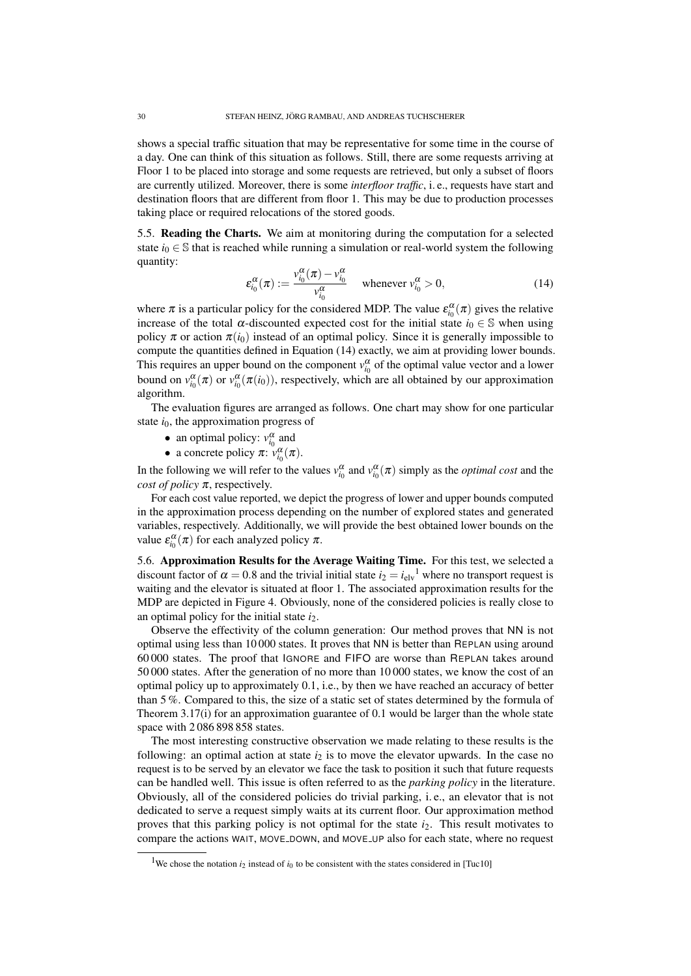shows a special traffic situation that may be representative for some time in the course of a day. One can think of this situation as follows. Still, there are some requests arriving at Floor 1 to be placed into storage and some requests are retrieved, but only a subset of floors are currently utilized. Moreover, there is some *interfloor traffic*, i. e., requests have start and destination floors that are different from floor 1. This may be due to production processes taking place or required relocations of the stored goods.

5.5. Reading the Charts. We aim at monitoring during the computation for a selected state  $i_0 \in \mathbb{S}$  that is reached while running a simulation or real-world system the following quantity:

$$
\varepsilon_{i_0}^{\alpha}(\pi) := \frac{v_{i_0}^{\alpha}(\pi) - v_{i_0}^{\alpha}}{v_{i_0}^{\alpha}} \quad \text{whenever } v_{i_0}^{\alpha} > 0,
$$
 (14)

where  $\pi$  is a particular policy for the considered MDP. The value  $\varepsilon_{i_0}^{\alpha}(\pi)$  gives the relative increase of the total  $\alpha$ -discounted expected cost for the initial state  $i_0 \in \mathbb{S}$  when using policy  $\pi$  or action  $\pi(i_0)$  instead of an optimal policy. Since it is generally impossible to compute the quantities defined in Equation (14) exactly, we aim at providing lower bounds. This requires an upper bound on the component  $v_{i_0}^{\alpha}$  of the optimal value vector and a lower bound on  $v_{i_0}^{\alpha}(\pi)$  or  $v_{i_0}^{\alpha}(\pi(i_0))$ , respectively, which are all obtained by our approximation algorithm.

The evaluation figures are arranged as follows. One chart may show for one particular state  $i_0$ , the approximation progress of

- an optimal policy:  $v_{i_0}^{\alpha}$  and
- a concrete policy  $\pi$ :  $v_{i_0}^{\alpha}(\pi)$ .

In the following we will refer to the values  $v_{i_0}^{\alpha}$  and  $v_{i_0}^{\alpha}(\pi)$  simply as the *optimal cost* and the *cost of policy* π, respectively.

For each cost value reported, we depict the progress of lower and upper bounds computed in the approximation process depending on the number of explored states and generated variables, respectively. Additionally, we will provide the best obtained lower bounds on the value  $\varepsilon_{i_0}^{\alpha}(\pi)$  for each analyzed policy  $\pi$ .

5.6. Approximation Results for the Average Waiting Time. For this test, we selected a discount factor of  $\alpha = 0.8$  and the trivial initial state  $i_2 = i_{\text{elv}}^{\text{1}}$  where no transport request is waiting and the elevator is situated at floor 1. The associated approximation results for the MDP are depicted in Figure 4. Obviously, none of the considered policies is really close to an optimal policy for the initial state *i*2.

Observe the effectivity of the column generation: Our method proves that NN is not optimal using less than 10 000 states. It proves that NN is better than REPLAN using around 60 000 states. The proof that IGNORE and FIFO are worse than REPLAN takes around 50 000 states. After the generation of no more than 10 000 states, we know the cost of an optimal policy up to approximately 0.1, i.e., by then we have reached an accuracy of better than 5 %. Compared to this, the size of a static set of states determined by the formula of Theorem 3.17(i) for an approximation guarantee of 0.1 would be larger than the whole state space with 2 086 898 858 states.

The most interesting constructive observation we made relating to these results is the following: an optimal action at state  $i_2$  is to move the elevator upwards. In the case no request is to be served by an elevator we face the task to position it such that future requests can be handled well. This issue is often referred to as the *parking policy* in the literature. Obviously, all of the considered policies do trivial parking, i. e., an elevator that is not dedicated to serve a request simply waits at its current floor. Our approximation method proves that this parking policy is not optimal for the state *i*2. This result motivates to compare the actions WAIT, MOVE\_DOWN, and MOVE\_UP also for each state, where no request

<sup>&</sup>lt;sup>1</sup>We chose the notation  $i_2$  instead of  $i_0$  to be consistent with the states considered in [Tuc10]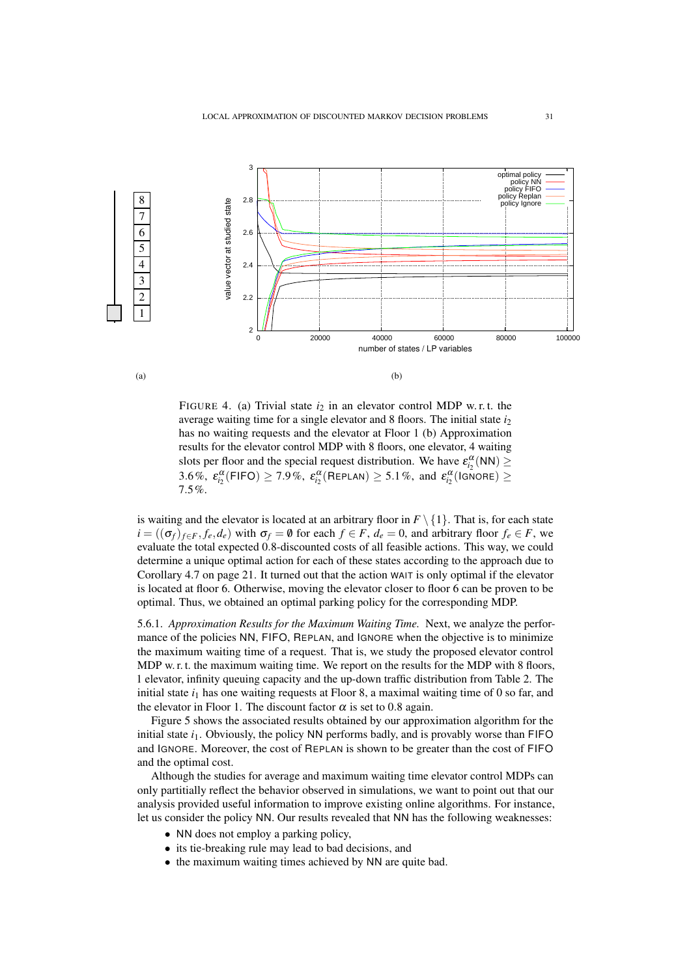

FIGURE 4. (a) Trivial state  $i_2$  in an elevator control MDP w.r.t. the average waiting time for a single elevator and 8 floors. The initial state *i*<sup>2</sup> has no waiting requests and the elevator at Floor 1 (b) Approximation results for the elevator control MDP with 8 floors, one elevator, 4 waiting slots per floor and the special request distribution. We have  $\varepsilon_{i_2}^{\alpha}(NN) \geq$ 3.6%,  $\varepsilon_{i_2}^{\alpha}(\textsf{FIFO}) \geq 7.9\%$ ,  $\varepsilon_{i_2}^{\alpha}(\textsf{RePLAN}) \geq 5.1\%$ , and  $\varepsilon_{i_2}^{\alpha}(\textsf{IsNone}) \geq 0$ 7.5%.

is waiting and the elevator is located at an arbitrary floor in  $F \setminus \{1\}$ . That is, for each state  $i = ((\sigma_f)_{f \in F}, f_e, d_e)$  with  $\sigma_f = \emptyset$  for each  $f \in F$ ,  $d_e = 0$ , and arbitrary floor  $f_e \in F$ , we evaluate the total expected 0.8-discounted costs of all feasible actions. This way, we could determine a unique optimal action for each of these states according to the approach due to Corollary 4.7 on page 21. It turned out that the action WAIT is only optimal if the elevator is located at floor 6. Otherwise, moving the elevator closer to floor 6 can be proven to be optimal. Thus, we obtained an optimal parking policy for the corresponding MDP.

5.6.1. *Approximation Results for the Maximum Waiting Time.* Next, we analyze the performance of the policies NN, FIFO, REPLAN, and IGNORE when the objective is to minimize the maximum waiting time of a request. That is, we study the proposed elevator control MDP w. r. t. the maximum waiting time. We report on the results for the MDP with 8 floors, 1 elevator, infinity queuing capacity and the up-down traffic distribution from Table 2. The initial state  $i_1$  has one waiting requests at Floor 8, a maximal waiting time of 0 so far, and the elevator in Floor 1. The discount factor  $\alpha$  is set to 0.8 again.

Figure 5 shows the associated results obtained by our approximation algorithm for the initial state  $i_1$ . Obviously, the policy NN performs badly, and is provably worse than  $FIFO$ and IGNORE. Moreover, the cost of REPLAN is shown to be greater than the cost of FIFO and the optimal cost.

Although the studies for average and maximum waiting time elevator control MDPs can only partitially reflect the behavior observed in simulations, we want to point out that our analysis provided useful information to improve existing online algorithms. For instance, let us consider the policy NN. Our results revealed that NN has the following weaknesses:

- NN does not employ a parking policy,
- its tie-breaking rule may lead to bad decisions, and
- the maximum waiting times achieved by NN are quite bad.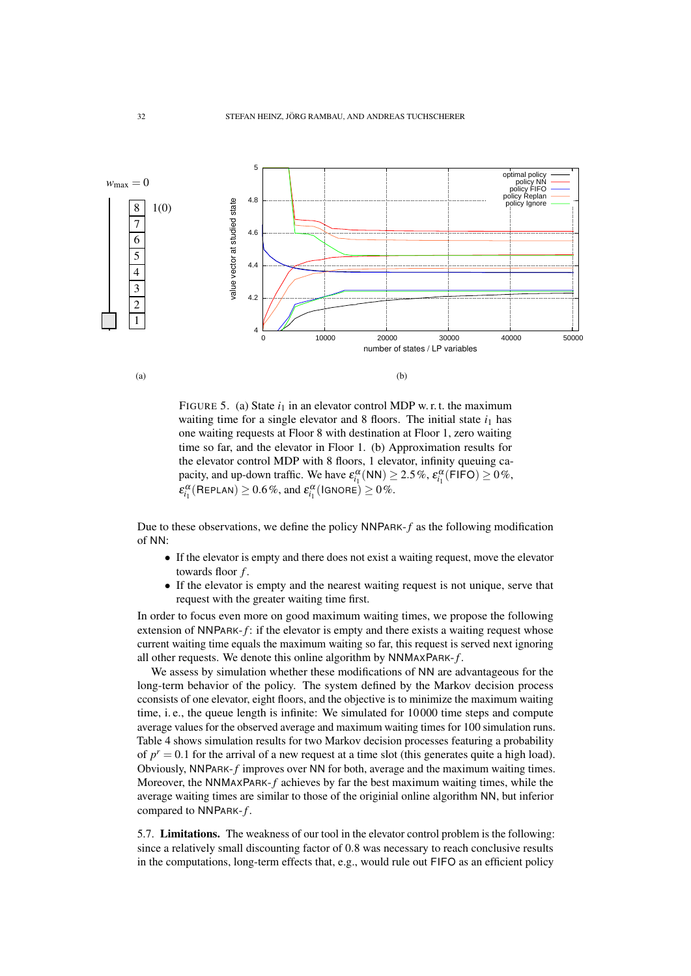

FIGURE 5. (a) State  $i_1$  in an elevator control MDP w. r. t. the maximum waiting time for a single elevator and 8 floors. The initial state  $i_1$  has one waiting requests at Floor 8 with destination at Floor 1, zero waiting time so far, and the elevator in Floor 1. (b) Approximation results for the elevator control MDP with 8 floors, 1 elevator, infinity queuing capacity, and up-down traffic. We have  $\varepsilon_{i_1}^{\alpha}$  (NN)  $\geq$  2.5%,  $\varepsilon_{i_1}^{\alpha}$  (FIFO)  $\geq$  0%,  $\varepsilon_{i_1}^{\alpha}$ (REPLAN)  $\geq 0.6\%$ , and  $\varepsilon_{i_1}^{\alpha}$ (IGNORE)  $\geq 0\%$ .

Due to these observations, we define the policy NNPARK-*f* as the following modification of NN:

- If the elevator is empty and there does not exist a waiting request, move the elevator towards floor *f* .
- If the elevator is empty and the nearest waiting request is not unique, serve that request with the greater waiting time first.

In order to focus even more on good maximum waiting times, we propose the following extension of NNPARK-*f*: if the elevator is empty and there exists a waiting request whose current waiting time equals the maximum waiting so far, this request is served next ignoring all other requests. We denote this online algorithm by NNMAXPARK-*f* .

We assess by simulation whether these modifications of NN are advantageous for the long-term behavior of the policy. The system defined by the Markov decision process cconsists of one elevator, eight floors, and the objective is to minimize the maximum waiting time, i. e., the queue length is infinite: We simulated for 10 000 time steps and compute average values for the observed average and maximum waiting times for 100 simulation runs. Table 4 shows simulation results for two Markov decision processes featuring a probability of  $p^r = 0.1$  for the arrival of a new request at a time slot (this generates quite a high load). Obviously, NNPARK-*f* improves over NN for both, average and the maximum waiting times. Moreover, the NNMAXPARK-*f* achieves by far the best maximum waiting times, while the average waiting times are similar to those of the originial online algorithm NN, but inferior compared to NNPARK-*f* .

5.7. Limitations. The weakness of our tool in the elevator control problem is the following: since a relatively small discounting factor of 0.8 was necessary to reach conclusive results in the computations, long-term effects that, e.g., would rule out FIFO as an efficient policy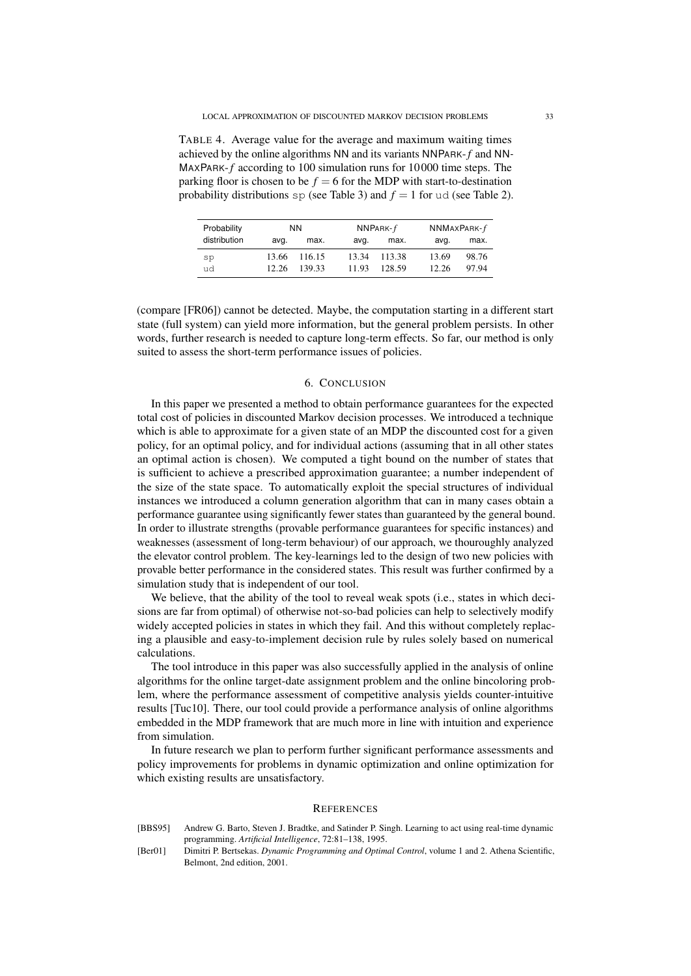TABLE 4. Average value for the average and maximum waiting times achieved by the online algorithms NN and its variants NNPARK-*f* and NN-MAXPARK-*f* according to 100 simulation runs for 10 000 time steps. The parking floor is chosen to be  $f = 6$  for the MDP with start-to-destination probability distributions  $sp$  (see Table 3) and  $f = 1$  for ud (see Table 2).

| Probability  | NN.   |        |       | $NNPARK-f$ | $NNMAXPARK-f$ |       |  |
|--------------|-------|--------|-------|------------|---------------|-------|--|
| distribution | avq.  | max.   | avq.  | max.       | avq.          | max.  |  |
| sp           | 13.66 | 116.15 | 13.34 | 113.38     | 13.69         | 98.76 |  |
| ud           | 12.26 | 139.33 | 11.93 | 128.59     | 12.26         | 97.94 |  |

(compare [FR06]) cannot be detected. Maybe, the computation starting in a different start state (full system) can yield more information, but the general problem persists. In other words, further research is needed to capture long-term effects. So far, our method is only suited to assess the short-term performance issues of policies.

#### 6. CONCLUSION

In this paper we presented a method to obtain performance guarantees for the expected total cost of policies in discounted Markov decision processes. We introduced a technique which is able to approximate for a given state of an MDP the discounted cost for a given policy, for an optimal policy, and for individual actions (assuming that in all other states an optimal action is chosen). We computed a tight bound on the number of states that is sufficient to achieve a prescribed approximation guarantee; a number independent of the size of the state space. To automatically exploit the special structures of individual instances we introduced a column generation algorithm that can in many cases obtain a performance guarantee using significantly fewer states than guaranteed by the general bound. In order to illustrate strengths (provable performance guarantees for specific instances) and weaknesses (assessment of long-term behaviour) of our approach, we thouroughly analyzed the elevator control problem. The key-learnings led to the design of two new policies with provable better performance in the considered states. This result was further confirmed by a simulation study that is independent of our tool.

We believe, that the ability of the tool to reveal weak spots (i.e., states in which decisions are far from optimal) of otherwise not-so-bad policies can help to selectively modify widely accepted policies in states in which they fail. And this without completely replacing a plausible and easy-to-implement decision rule by rules solely based on numerical calculations.

The tool introduce in this paper was also successfully applied in the analysis of online algorithms for the online target-date assignment problem and the online bincoloring problem, where the performance assessment of competitive analysis yields counter-intuitive results [Tuc10]. There, our tool could provide a performance analysis of online algorithms embedded in the MDP framework that are much more in line with intuition and experience from simulation.

In future research we plan to perform further significant performance assessments and policy improvements for problems in dynamic optimization and online optimization for which existing results are unsatisfactory.

#### **REFERENCES**

- [BBS95] Andrew G. Barto, Steven J. Bradtke, and Satinder P. Singh. Learning to act using real-time dynamic programming. *Artificial Intelligence*, 72:81–138, 1995.
- [Ber01] Dimitri P. Bertsekas. *Dynamic Programming and Optimal Control*, volume 1 and 2. Athena Scientific, Belmont, 2nd edition, 2001.